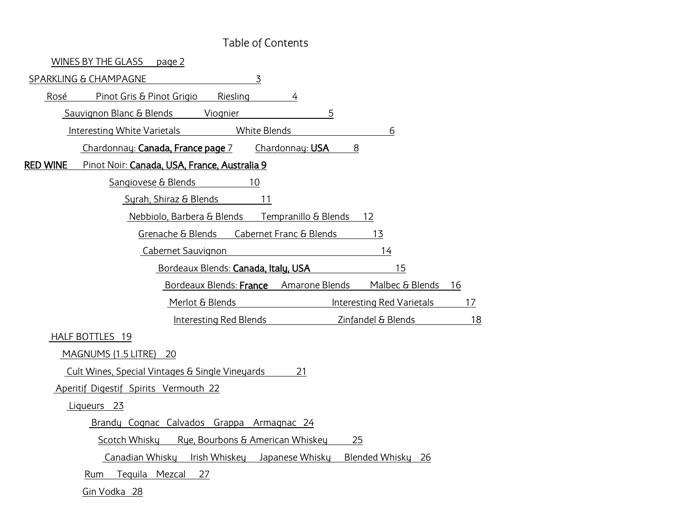#### Table of Contents

| WINES BY THE GLASS<br>page 2                                          |    |
|-----------------------------------------------------------------------|----|
| $\overline{3}$<br>SPARKLING & CHAMPAGNE                               |    |
| Pinot Gris & Pinot Grigio<br>Rosé<br>Riesling<br>4                    |    |
| 5<br>Sauvignon Blanc & Blends<br>Viognier                             |    |
| <b>White Blends</b><br>Interesting White Varietals<br>6               |    |
| Chardonnay: Canada, France page 7<br>Chardonnay: USA<br>8             |    |
| <b>RED WINE</b><br>Pinot Noir: Canada, USA, France, Australia 9       |    |
| Sangiovese & Blends<br>10                                             |    |
| Syrah, Shiraz & Blends<br>11                                          |    |
| Nebbiolo, Barbera & Blends Tempranillo & Blends<br>12                 |    |
| Grenache & Blends<br>13<br>Cabernet Franc & Blends                    |    |
| Cabernet Sauvignon<br>14                                              |    |
| Bordeaux Blends: Canada, Italy, USA<br>15                             |    |
| Bordeaux Blends: France Amarone Blends Malbec & Blends                | 16 |
| Merlot & Blends<br>Interesting Red Varietals                          | 17 |
| Interesting Red Blends<br>Zinfandel & Blends                          | 18 |
| HALF BOTTLES 19                                                       |    |
| MAGNUMS (1.5 LITRE) 20                                                |    |
| Cult Wines, Special Vintages & Single Vineyards<br>21                 |    |
| Aperitif Digestif Spirits Vermouth 22                                 |    |
| Liqueurs 23                                                           |    |
| Brandy Cognac Calvados Grappa Armagnac 24                             |    |
| Rye, Bourbons & American Whiskey<br>Scotch Whisky<br>25               |    |
| Irish Whiskey Japanese Whisky<br>Blended Whisky 26<br>Canadian Whisky |    |
| Tequila Mezcal<br>27<br>Rum                                           |    |
| Gin Vodka 28                                                          |    |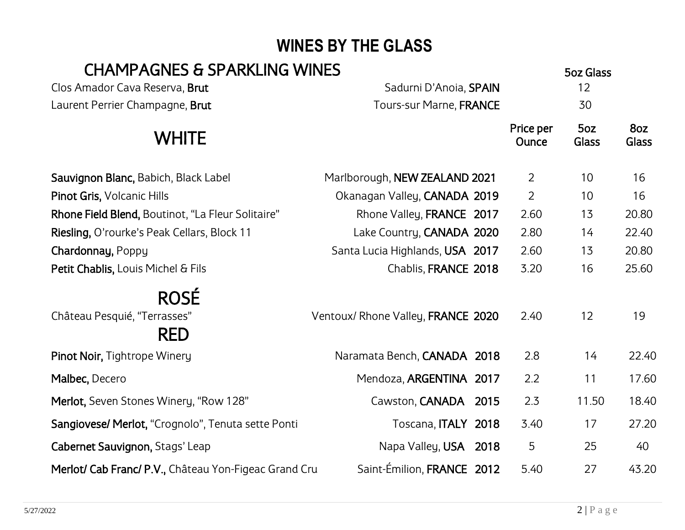# <span id="page-1-0"></span>**WINES BY THE GLASS**

### CHAMPAGNES & SPARKLING WINES

|                                                           |                                    |                    | JUL UIUJJ    |              |
|-----------------------------------------------------------|------------------------------------|--------------------|--------------|--------------|
| Clos Amador Cava Reserva, Brut                            | Sadurni D'Anoia, SPAIN             |                    | 12           |              |
| Laurent Perrier Champagne, Brut                           | Tours-sur Marne, FRANCE            |                    | 30           |              |
| <b>WHITE</b>                                              |                                    | Price per<br>Ounce | 5oz<br>Glass | 8oz<br>Glass |
| Sauvignon Blanc, Babich, Black Label                      | Marlborough, NEW ZEALAND 2021      | $\overline{2}$     | 10           | 16           |
| Pinot Gris, Volcanic Hills                                | Okanagan Valley, CANADA 2019       | $\overline{2}$     | 10           | 16           |
| Rhone Field Blend, Boutinot, "La Fleur Solitaire"         | Rhone Valley, FRANCE 2017          | 2.60               | 13           | 20.80        |
| Riesling, O'rourke's Peak Cellars, Block 11               | Lake Country, CANADA 2020          | 2.80               | 14           | 22.40        |
| Chardonnay, Poppy                                         | Santa Lucia Highlands, USA 2017    | 2.60               | 13           | 20.80        |
| Petit Chablis, Louis Michel & Fils                        | Chablis, FRANCE 2018               | 3.20               | 16           | 25.60        |
| <b>ROSÉ</b><br>Château Pesquié, "Terrasses"<br><b>RED</b> | Ventoux/ Rhone Valley, FRANCE 2020 | 2.40               | 12           | 19           |
| Pinot Noir, Tightrope Winery                              | Naramata Bench, CANADA 2018        | 2.8                | 14           | 22.40        |
| Malbec, Decero                                            | Mendoza, ARGENTINA 2017            | 2.2                | 11           | 17.60        |
| Merlot, Seven Stones Winery, "Row 128"                    | Cawston, CANADA 2015               | 2.3                | 11.50        | 18.40        |
| Sangiovese/ Merlot, "Crognolo", Tenuta sette Ponti        | Toscana, ITALY 2018                | 3.40               | 17           | 27.20        |
| Cabernet Sauvignon, Stags' Leap                           | Napa Valley, USA 2018              | 5                  | 25           | 40           |
| Merlot/ Cab Franc/ P.V., Château Yon-Figeac Grand Cru     | Saint-Émilion, FRANCE 2012         | 5.40               | 27           | 43.20        |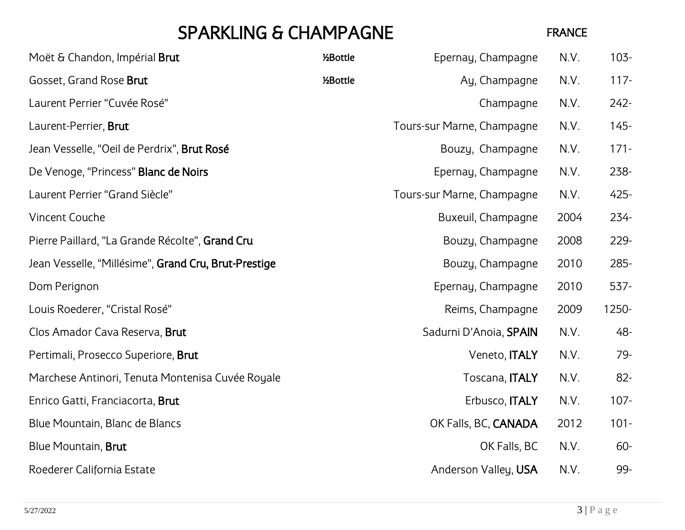# <span id="page-2-0"></span>SPARKLING & CHAMPAGNE FRANCE

| Moët & Chandon, Impérial Brut                        | 1⁄2Bottle | Epernay, Champagne         | N.V. | $103 -$ |
|------------------------------------------------------|-----------|----------------------------|------|---------|
| Gosset, Grand Rose Brut                              | 1⁄2Bottle | Ay, Champagne              | N.V. | $117 -$ |
| Laurent Perrier "Cuvée Rosé"                         |           | Champagne                  | N.V. | $242 -$ |
| Laurent-Perrier, Brut                                |           | Tours-sur Marne, Champagne | N.V. | $145 -$ |
| Jean Vesselle, "Oeil de Perdrix", Brut Rosé          |           | Bouzy, Champagne           | N.V. | $171 -$ |
| De Venoge, "Princess" Blanc de Noirs                 |           | Epernay, Champagne         | N.V. | 238-    |
| Laurent Perrier "Grand Siècle"                       |           | Tours-sur Marne, Champagne | N.V. | $425 -$ |
| <b>Vincent Couche</b>                                |           | Buxeuil, Champagne         | 2004 | $234 -$ |
| Pierre Paillard, "La Grande Récolte", Grand Cru      |           | Bouzy, Champagne           | 2008 | 229-    |
| Jean Vesselle, "Millésime", Grand Cru, Brut-Prestige |           | Bouzy, Champagne           | 2010 | 285-    |
| Dom Perignon                                         |           | Epernay, Champagne         | 2010 | 537-    |
| Louis Roederer, "Cristal Rosé"                       |           | Reims, Champagne           | 2009 | 1250-   |
| Clos Amador Cava Reserva, Brut                       |           | Sadurni D'Anoia, SPAIN     | N.V. | 48-     |
| Pertimali, Prosecco Superiore, Brut                  |           | Veneto, <b>ITALY</b>       | N.V. | 79-     |
| Marchese Antinori, Tenuta Montenisa Cuvée Royale     |           | Toscana, ITALY             | N.V. | $82 -$  |
| Enrico Gatti, Franciacorta, Brut                     |           | Erbusco, <b>ITALY</b>      | N.V. | $107 -$ |
| Blue Mountain, Blanc de Blancs                       |           | OK Falls, BC, CANADA       | 2012 | $101 -$ |
| <b>Blue Mountain, Brut</b>                           |           | OK Falls, BC               | N.V. | $60 -$  |
| Roederer California Estate                           |           | Anderson Valley, USA       | N.V. | 99-     |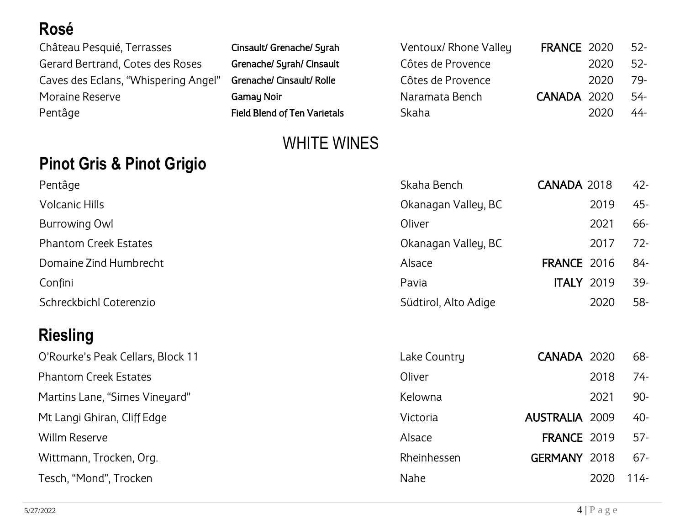### <span id="page-3-0"></span>**Rosé**

Château Pesquié, Terrasses Cinsault/ Grenache/ Syrah Gerard Bertrand, Cotes des Roses Grenache/ Syrah/ Cinsault Caves des Eclans, "Whispering Angel" Grenache/ Cinsault/ Rolle Moraine Reserve Gamay Noir Pentâge Field Blend of Ten Varietals

| Ventoux/ Rhone Valley | FRANCE 2020 |          | - 52- |
|-----------------------|-------------|----------|-------|
| Côtes de Provence     |             | 2020 52- |       |
| Côtes de Provence     |             | 2020     | -79   |
| Naramata Bench        | CANADA 2020 |          | -54   |
| Skaha                 |             | 2020     | -44   |

#### WHITE WINES

#### <span id="page-3-1"></span>**Pinot Gris & Pinot Grigio**

| Pentâge                      | Skaha Bench          | CANADA 2018       | $42 -$ |
|------------------------------|----------------------|-------------------|--------|
| <b>Volcanic Hills</b>        | Okanagan Valley, BC  | 2019              | $45 -$ |
| <b>Burrowing Owl</b>         | Oliver               | 2021              | $66 -$ |
| <b>Phantom Creek Estates</b> | Okanagan Valley, BC  | 2017              | $72-$  |
| Domaine Zind Humbrecht       | Alsace               | FRANCE 2016       | -84    |
| Confini                      | Pavia                | <b>ITALY 2019</b> | 39-    |
| Schreckbichl Coterenzio      | Südtirol, Alto Adige | 2020              | $58-$  |

### <span id="page-3-2"></span>**Riesling**

| O'Rourke's Peak Cellars, Block 11 | Lake Country | CANADA 2020           |      | 68-     |
|-----------------------------------|--------------|-----------------------|------|---------|
| <b>Phantom Creek Estates</b>      | Oliver       |                       | 2018 | $74-$   |
| Martins Lane, "Simes Vineyard"    | Kelowna      |                       | 2021 | $90 -$  |
| Mt Langi Ghiran, Cliff Edge       | Victoria     | <b>AUSTRALIA 2009</b> |      | 40-     |
| Willm Reserve                     | Alsace       | <b>FRANCE 2019</b>    |      | $57 -$  |
| Wittmann, Trocken, Org.           | Rheinhessen  | GERMANY 2018          |      | $67 -$  |
| Tesch, "Mond", Trocken            | Nahe         |                       | 2020 | $114 -$ |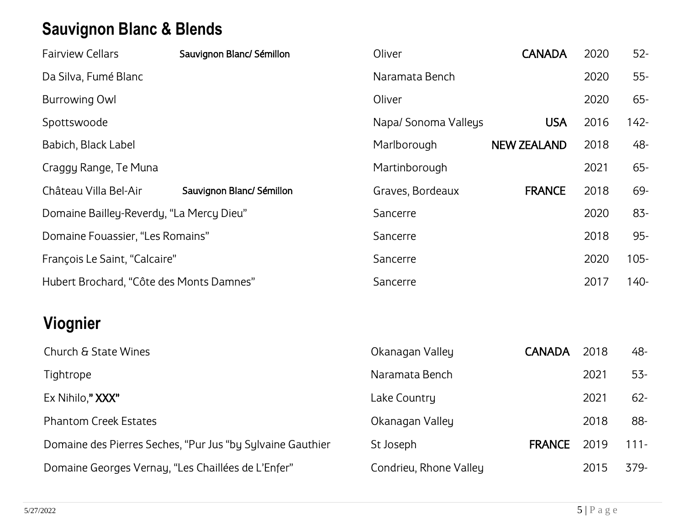# <span id="page-4-0"></span>**Sauvignon Blanc & Blends**

| <b>Fairview Cellars</b>                  | Sauvignon Blanc/ Sémillon | Oliver              | <b>CANADA</b>      | 2020 | $52 -$  |
|------------------------------------------|---------------------------|---------------------|--------------------|------|---------|
| Da Silva, Fumé Blanc                     |                           | Naramata Bench      |                    | 2020 | $55 -$  |
| <b>Burrowing Owl</b>                     |                           | Oliver              |                    | 2020 | $65 -$  |
| Spottswoode                              |                           | Napa/Sonoma Valleys | <b>USA</b>         | 2016 | $142 -$ |
| Babich, Black Label                      |                           | Marlborough         | <b>NEW ZEALAND</b> | 2018 | 48-     |
| Craggy Range, Te Muna                    |                           | Martinborough       |                    | 2021 | $65 -$  |
| Château Villa Bel-Air                    | Sauvignon Blanc/ Sémillon | Graves, Bordeaux    | <b>FRANCE</b>      | 2018 | 69-     |
| Domaine Bailley-Reverdy, "La Mercy Dieu" |                           | Sancerre            |                    | 2020 | 83-     |
| Domaine Fouassier, "Les Romains"         |                           | Sancerre            |                    | 2018 | $95 -$  |
| François Le Saint, "Calcaire"            |                           | Sancerre            |                    | 2020 | $105 -$ |
| Hubert Brochard, "Côte des Monts Damnes" |                           | Sancerre            |                    | 2017 | $140 -$ |

# <span id="page-4-1"></span>**Viognier**

| Church & State Wines                                       | Okanagan Valley        | <b>CANADA</b> | 2018 | 48-     |
|------------------------------------------------------------|------------------------|---------------|------|---------|
| Tightrope                                                  | Naramata Bench         |               | 2021 | $53 -$  |
| Ex Nihilo," XXX"                                           | Lake Country           |               | 2021 | $62 -$  |
| <b>Phantom Creek Estates</b>                               | Okanagan Valley        |               | 2018 | 88-     |
| Domaine des Pierres Seches, "Pur Jus "by Sylvaine Gauthier | St Joseph              | <b>FRANCE</b> | 2019 | $111 -$ |
| Domaine Georges Vernay, "Les Chaillées de L'Enfer"         | Condrieu, Rhone Valley |               | 2015 | $379-$  |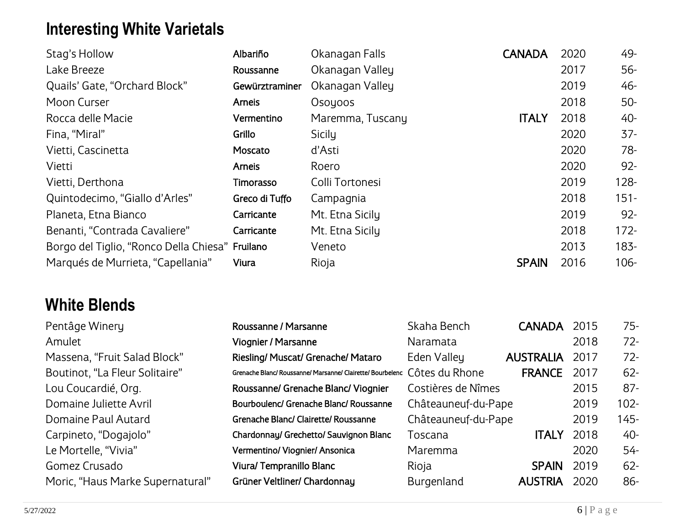# <span id="page-5-0"></span>**Interesting White Varietals**

| Stag's Hollow                                   | Albariño       | Okanagan Falls   | <b>CANADA</b> | 2020 | 49-     |
|-------------------------------------------------|----------------|------------------|---------------|------|---------|
| Lake Breeze                                     | Roussanne      | Okanagan Valley  |               | 2017 | $56-$   |
| Quails' Gate, "Orchard Block"                   | Gewürztraminer | Okanagan Valley  |               | 2019 | 46-     |
| Moon Curser                                     | Arneis         | Osoyoos          |               | 2018 | $50-$   |
| Rocca delle Macie                               | Vermentino     | Maremma, Tuscany | <b>ITALY</b>  | 2018 | 40-     |
| Fina, "Miral"                                   | Grillo         | Sicily           |               | 2020 | $37 -$  |
| Vietti, Cascinetta                              | Moscato        | d'Asti           |               | 2020 | $78-$   |
| Vietti                                          | Arneis         | Roero            |               | 2020 | $92 -$  |
| Vietti, Derthona                                | Timorasso      | Colli Tortonesi  |               | 2019 | $128 -$ |
| Quintodecimo, "Giallo d'Arles"                  | Greco di Tuffo | Campagnia        |               | 2018 | $151 -$ |
| Planeta, Etna Bianco                            | Carricante     | Mt. Etna Sicily  |               | 2019 | $92 -$  |
| Benanti, "Contrada Cavaliere"                   | Carricante     | Mt. Etna Sicily  |               | 2018 | $172 -$ |
| Borgo del Tiglio, "Ronco Della Chiesa" Fruilano |                | Veneto           |               | 2013 | $183 -$ |
| Marqués de Murrieta, "Capellania"               | Viura          | Rioja            | <b>SPAIN</b>  | 2016 | $106 -$ |

#### <span id="page-5-1"></span>**White Blends**

| Pentâge Winery                   | Roussanne / Marsanne                                                      | Skaha Bench         | <b>CANADA</b>    | 2015 | $75 -$  |
|----------------------------------|---------------------------------------------------------------------------|---------------------|------------------|------|---------|
| Amulet                           | Viognier / Marsanne                                                       | Naramata            |                  | 2018 | $72 -$  |
| Massena, "Fruit Salad Block"     | Riesling/ Muscat/ Grenache/ Mataro                                        | Eden Valley         | <b>AUSTRALIA</b> | 2017 | $72 -$  |
| Boutinot, "La Fleur Solitaire"   | Grenache Blanc/ Roussanne/ Marsanne/ Clairette/ Bourbelenc Côtes du Rhone |                     | <b>FRANCE</b>    | 2017 | $62 -$  |
| Lou Coucardié, Org.              | Roussanne/ Grenache Blanc/ Viognier                                       | Costières de Nîmes  |                  | 2015 | $87 -$  |
| Domaine Juliette Avril           | Bourboulenc/ Grenache Blanc/ Roussanne                                    | Châteauneuf-du-Pape |                  | 2019 | $102 -$ |
| Domaine Paul Autard              | Grenache Blanc/ Clairette/ Roussanne                                      | Châteauneuf-du-Pape |                  | 2019 | 145-    |
| Carpineto, "Dogajolo"            | Chardonnay/ Grechetto/ Sauvignon Blanc                                    | Toscana             | <b>ITALY</b>     | 2018 | 40-     |
| Le Mortelle, "Vivia"             | Vermentino/ Viognier/ Ansonica                                            | Maremma             |                  | 2020 | 54-     |
| Gomez Crusado                    | Viura/Tempranillo Blanc                                                   | Rioja               | <b>SPAIN</b>     | 2019 | $62 -$  |
| Moric, "Haus Marke Supernatural" | Grüner Veltliner/ Chardonnay                                              | <b>Burgenland</b>   | <b>AUSTRIA</b>   | 2020 | $86-$   |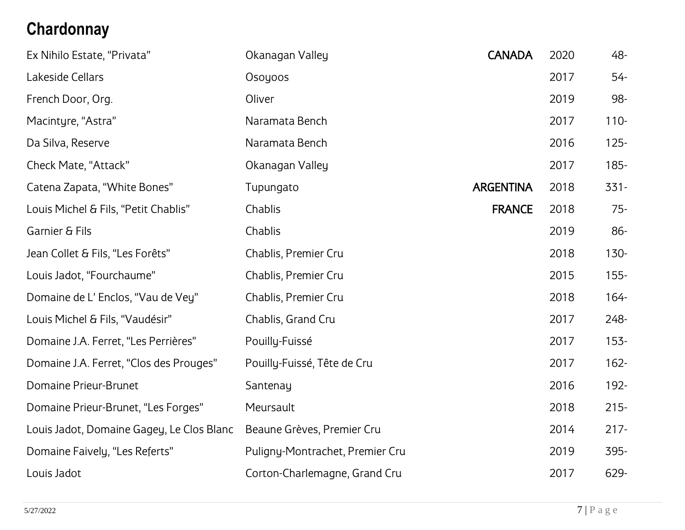# **Chardonnay**

| Ex Nihilo Estate, "Privata"               | Okanagan Valley                 | <b>CANADA</b>    | 2020 | 48-     |
|-------------------------------------------|---------------------------------|------------------|------|---------|
| Lakeside Cellars                          | Osoyoos                         |                  | 2017 | $54-$   |
| French Door, Org.                         | Oliver                          |                  | 2019 | 98-     |
| Macintyre, "Astra"                        | Naramata Bench                  |                  | 2017 | $110 -$ |
| Da Silva, Reserve                         | Naramata Bench                  |                  | 2016 | $125 -$ |
| Check Mate, "Attack"                      | Okanagan Valley                 |                  | 2017 | $185 -$ |
| Catena Zapata, "White Bones"              | Tupungato                       | <b>ARGENTINA</b> | 2018 | $331 -$ |
| Louis Michel & Fils, "Petit Chablis"      | Chablis                         | <b>FRANCE</b>    | 2018 | $75 -$  |
| Garnier & Fils                            | Chablis                         |                  | 2019 | 86-     |
| Jean Collet & Fils, "Les Forêts"          | Chablis, Premier Cru            |                  | 2018 | $130 -$ |
| Louis Jadot, "Fourchaume"                 | Chablis, Premier Cru            |                  | 2015 | $155 -$ |
| Domaine de L'Enclos, "Vau de Vey"         | Chablis, Premier Cru            |                  | 2018 | $164 -$ |
| Louis Michel & Fils, "Vaudésir"           | Chablis, Grand Cru              |                  | 2017 | 248-    |
| Domaine J.A. Ferret, "Les Perrières"      | Pouilly-Fuissé                  |                  | 2017 | $153 -$ |
| Domaine J.A. Ferret, "Clos des Prouges"   | Pouilly-Fuissé, Tête de Cru     |                  | 2017 | $162 -$ |
| Domaine Prieur-Brunet                     | Santenay                        |                  | 2016 | 192-    |
| Domaine Prieur-Brunet, "Les Forges"       | Meursault                       |                  | 2018 | $215 -$ |
| Louis Jadot, Domaine Gagey, Le Clos Blanc | Beaune Grèves, Premier Cru      |                  | 2014 | $217 -$ |
| Domaine Faively, "Les Referts"            | Puligny-Montrachet, Premier Cru |                  | 2019 | 395-    |
| Louis Jadot                               | Corton-Charlemagne, Grand Cru   |                  | 2017 | 629-    |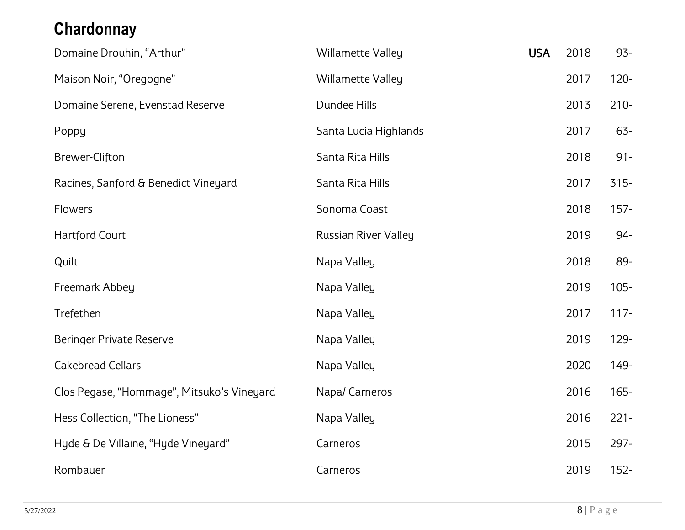# <span id="page-7-0"></span>**Chardonnay**

| Domaine Drouhin, "Arthur"                  | <b>Willamette Valley</b>    | <b>USA</b> | 2018 | 93-     |
|--------------------------------------------|-----------------------------|------------|------|---------|
| Maison Noir, "Oregogne"                    | <b>Willamette Valley</b>    |            | 2017 | $120 -$ |
| Domaine Serene, Evenstad Reserve           | Dundee Hills                |            | 2013 | $210 -$ |
| Poppy                                      | Santa Lucia Highlands       |            | 2017 | $63 -$  |
| Brewer-Clifton                             | Santa Rita Hills            |            | 2018 | $91 -$  |
| Racines, Sanford & Benedict Vineyard       | Santa Rita Hills            |            | 2017 | $315 -$ |
| Flowers                                    | Sonoma Coast                |            | 2018 | $157 -$ |
| <b>Hartford Court</b>                      | <b>Russian River Valley</b> |            | 2019 | $94 -$  |
| Quilt                                      | Napa Valley                 |            | 2018 | 89-     |
| Freemark Abbey                             | Napa Valley                 |            | 2019 | $105 -$ |
| Trefethen                                  | Napa Valley                 |            | 2017 | $117 -$ |
| <b>Beringer Private Reserve</b>            | Napa Valley                 |            | 2019 | 129-    |
| <b>Cakebread Cellars</b>                   | Napa Valley                 |            | 2020 | 149-    |
| Clos Pegase, "Hommage", Mitsuko's Vineyard | Napa/ Carneros              |            | 2016 | $165 -$ |
| Hess Collection, "The Lioness"             | Napa Valley                 |            | 2016 | $221 -$ |
| Hyde & De Villaine, "Hyde Vineyard"        | Carneros                    |            | 2015 | 297-    |
| Rombauer                                   | Carneros                    |            | 2019 | $152 -$ |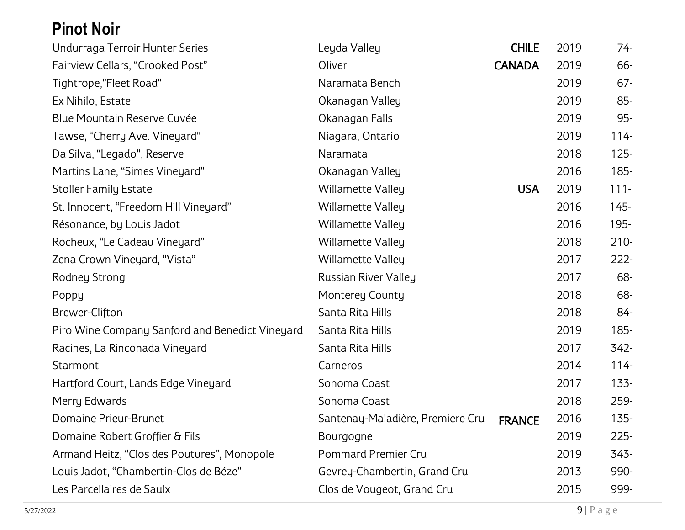# <span id="page-8-0"></span>**Pinot Noir**

| Undurraga Terroir Hunter Series                 | Leyda Valley                     | <b>CHILE</b>  | 2019 | 74-     |
|-------------------------------------------------|----------------------------------|---------------|------|---------|
| Fairview Cellars, "Crooked Post"                | Oliver                           | <b>CANADA</b> | 2019 | 66-     |
| Tightrope,"Fleet Road"                          | Naramata Bench                   |               | 2019 | $67 -$  |
| Ex Nihilo, Estate                               | Okanagan Valley                  |               | 2019 | $85 -$  |
| Blue Mountain Reserve Cuvée                     | Okanagan Falls                   |               | 2019 | 95-     |
| Tawse, "Cherry Ave. Vineyard"                   | Niagara, Ontario                 |               | 2019 | $114 -$ |
| Da Silva, "Legado", Reserve                     | Naramata                         |               | 2018 | $125 -$ |
| Martins Lane, "Simes Vineyard"                  | Okanagan Valley                  |               | 2016 | 185-    |
| <b>Stoller Family Estate</b>                    | <b>Willamette Valley</b>         | <b>USA</b>    | 2019 | $111 -$ |
| St. Innocent, "Freedom Hill Vineyard"           | <b>Willamette Valley</b>         |               | 2016 | $145 -$ |
| Résonance, by Louis Jadot                       | <b>Willamette Valley</b>         |               | 2016 | 195-    |
| Rocheux, "Le Cadeau Vineyard"                   | <b>Willamette Valley</b>         |               | 2018 | $210 -$ |
| Zena Crown Vineyard, "Vista"                    | <b>Willamette Valley</b>         |               | 2017 | $222 -$ |
| Rodney Strong                                   | <b>Russian River Valley</b>      |               | 2017 | 68-     |
| Poppy                                           | <b>Monterey County</b>           |               | 2018 | 68-     |
| Brewer-Clifton                                  | Santa Rita Hills                 |               | 2018 | 84-     |
| Piro Wine Company Sanford and Benedict Vineyard | Santa Rita Hills                 |               | 2019 | $185 -$ |
| Racines, La Rinconada Vineyard                  | Santa Rita Hills                 |               | 2017 | 342-    |
| Starmont                                        | Carneros                         |               | 2014 | $114 -$ |
| Hartford Court, Lands Edge Vineyard             | Sonoma Coast                     |               | 2017 | $133 -$ |
| Merry Edwards                                   | Sonoma Coast                     |               | 2018 | 259-    |
| Domaine Prieur-Brunet                           | Santenay-Maladière, Premiere Cru | <b>FRANCE</b> | 2016 | $135 -$ |
| Domaine Robert Groffier & Fils                  | Bourgogne                        |               | 2019 | $225-$  |
| Armand Heitz, "Clos des Poutures", Monopole     | <b>Pommard Premier Cru</b>       |               | 2019 | 343-    |
| Louis Jadot, "Chambertin-Clos de Béze"          | Gevrey-Chambertin, Grand Cru     |               | 2013 | 990-    |
| Les Parcellaires de Saulx                       | Clos de Vougeot, Grand Cru       |               | 2015 | 999-    |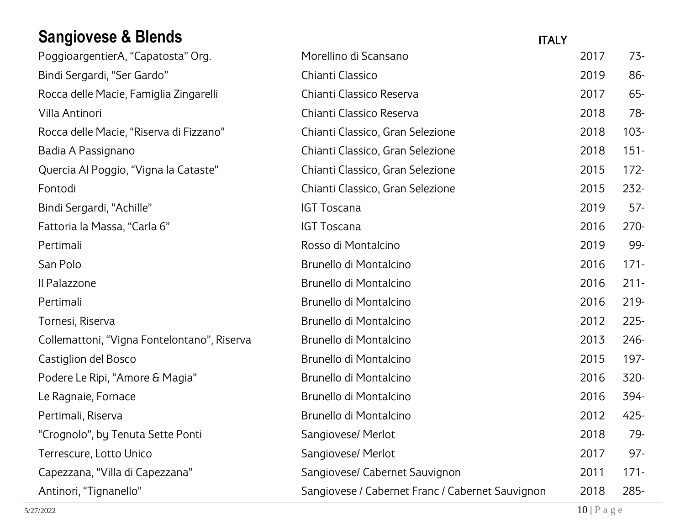# <span id="page-9-0"></span>**Sangiovese & Blends**

| <b>Sangiovese &amp; Blends</b>              |                                                  | <b>ITALY</b> |         |
|---------------------------------------------|--------------------------------------------------|--------------|---------|
| PoggioargentierA, "Capatosta" Org.          | Morellino di Scansano                            | 2017         | $73-$   |
| Bindi Sergardi, "Ser Gardo"                 | Chianti Classico                                 | 2019         | 86-     |
| Rocca delle Macie, Famiglia Zingarelli      | Chianti Classico Reserva                         | 2017         | $65 -$  |
| Villa Antinori                              | Chianti Classico Reserva                         | 2018         | 78-     |
| Rocca delle Macie, "Riserva di Fizzano"     | Chianti Classico, Gran Selezione                 | 2018         | $103 -$ |
| Badia A Passignano                          | Chianti Classico, Gran Selezione                 | 2018         | $151 -$ |
| Quercia Al Poggio, "Vigna la Cataste"       | Chianti Classico, Gran Selezione                 | 2015         | $172 -$ |
| Fontodi                                     | Chianti Classico, Gran Selezione                 | 2015         | $232 -$ |
| Bindi Sergardi, "Achille"                   | <b>IGT Toscana</b>                               | 2019         | $57-$   |
| Fattoria la Massa, "Carla 6"                | <b>IGT Toscana</b>                               | 2016         | $270-$  |
| Pertimali                                   | Rosso di Montalcino                              | 2019         | 99-     |
| San Polo                                    | Brunello di Montalcino                           | 2016         | $171 -$ |
| Il Palazzone                                | Brunello di Montalcino                           | 2016         | $211 -$ |
| Pertimali                                   | Brunello di Montalcino                           | 2016         | $219 -$ |
| Tornesi, Riserva                            | Brunello di Montalcino                           | 2012         | $225 -$ |
| Collemattoni, "Vigna Fontelontano", Riserva | Brunello di Montalcino                           | 2013         | 246-    |
| Castiglion del Bosco                        | Brunello di Montalcino                           | 2015         | $197 -$ |
| Podere Le Ripi, "Amore & Magia"             | Brunello di Montalcino                           | 2016         | 320-    |
| Le Ragnaie, Fornace                         | Brunello di Montalcino                           | 2016         | 394-    |
| Pertimali, Riserva                          | Brunello di Montalcino                           | 2012         | $425 -$ |
| "Crognolo", by Tenuta Sette Ponti           | Sangiovese/ Merlot                               | 2018         | 79-     |
| Terrescure, Lotto Unico                     | Sangiovese/ Merlot                               | 2017         | 97-     |
| Capezzana, "Villa di Capezzana"             | Sangiovese/ Cabernet Sauvignon                   | 2011         | $171 -$ |
| Antinori, "Tignanello"                      | Sangiovese / Cabernet Franc / Cabernet Sauvignon | 2018         | $285 -$ |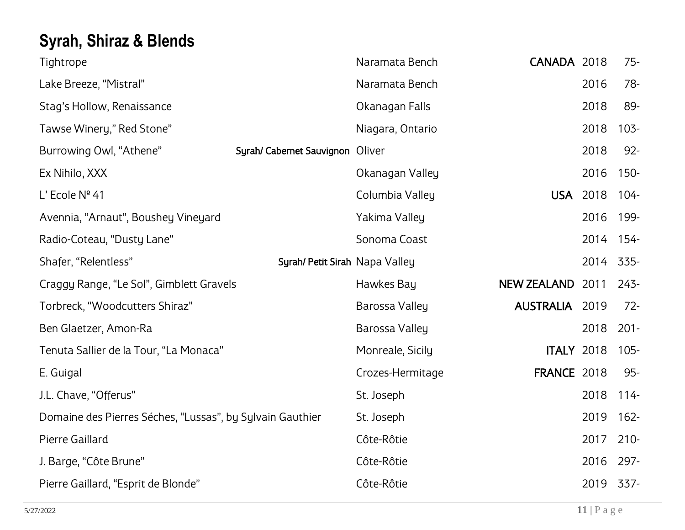# <span id="page-10-0"></span>**Syrah, Shiraz & Blends**

| Tightrope                                                 |                                  | Naramata Bench   | CANADA 2018           |      | $75 -$  |
|-----------------------------------------------------------|----------------------------------|------------------|-----------------------|------|---------|
| Lake Breeze, "Mistral"                                    |                                  | Naramata Bench   |                       | 2016 | 78-     |
| Stag's Hollow, Renaissance                                |                                  | Okanagan Falls   |                       | 2018 | 89-     |
| Tawse Winery," Red Stone"                                 |                                  | Niagara, Ontario |                       | 2018 | $103 -$ |
| Burrowing Owl, "Athene"                                   | Syrah/ Cabernet Sauvignon Oliver |                  |                       | 2018 | $92 -$  |
| Ex Nihilo, XXX                                            |                                  | Okanagan Valley  |                       | 2016 | $150 -$ |
| L' Ecole Nº 41                                            |                                  | Columbia Valley  | <b>USA</b>            | 2018 | $104 -$ |
| Avennia, "Arnaut", Boushey Vineyard                       |                                  | Yakima Valley    |                       | 2016 | 199-    |
| Radio-Coteau, "Dusty Lane"                                |                                  | Sonoma Coast     |                       | 2014 | $154 -$ |
| Shafer, "Relentless"                                      | Syrah/ Petit Sirah Napa Valley   |                  |                       | 2014 | 335-    |
| Craggy Range, "Le Sol", Gimblett Gravels                  |                                  | Hawkes Bay       | NEW ZEALAND 2011      |      | $243 -$ |
| Torbreck, "Woodcutters Shiraz"                            |                                  | Barossa Valley   | <b>AUSTRALIA 2019</b> |      | $72 -$  |
| Ben Glaetzer, Amon-Ra                                     |                                  | Barossa Valley   |                       | 2018 | $201 -$ |
| Tenuta Sallier de la Tour, "La Monaca"                    |                                  | Monreale, Sicily | <b>ITALY 2018</b>     |      | $105 -$ |
| E. Guigal                                                 |                                  | Crozes-Hermitage | <b>FRANCE 2018</b>    |      | 95-     |
| J.L. Chave, "Offerus"                                     |                                  | St. Joseph       |                       | 2018 | $114 -$ |
| Domaine des Pierres Séches, "Lussas", by Sylvain Gauthier |                                  | St. Joseph       |                       | 2019 | $162 -$ |
| Pierre Gaillard                                           |                                  | Côte-Rôtie       |                       | 2017 | $210 -$ |
| J. Barge, "Côte Brune"                                    |                                  | Côte-Rôtie       |                       | 2016 | $297 -$ |
| Pierre Gaillard, "Esprit de Blonde"                       |                                  | Côte-Rôtie       |                       | 2019 | 337-    |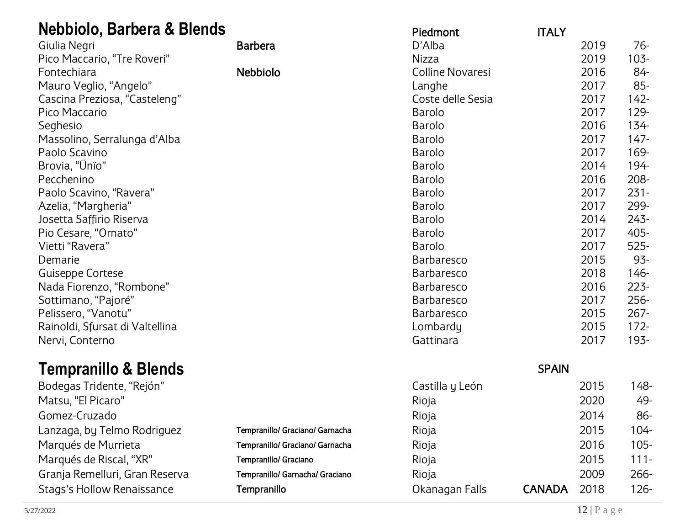<span id="page-11-0"></span>

| <b>Nebbiolo, Barbera &amp; Blends</b> |                                 | Piedmont                | <b>ITALY</b>  |      |         |
|---------------------------------------|---------------------------------|-------------------------|---------------|------|---------|
| Giulia Negri                          | <b>Barbera</b>                  | D'Alba                  |               | 2019 | $76-$   |
| Pico Maccario, "Tre Roveri"           |                                 | <b>Nizza</b>            |               | 2019 | $103 -$ |
| Fontechiara                           | <b>Nebbiolo</b>                 | <b>Colline Novaresi</b> |               | 2016 | 84-     |
| Mauro Veglio, "Angelo"                |                                 | Langhe                  |               | 2017 | $85-$   |
| Cascina Preziosa, "Casteleng"         |                                 | Coste delle Sesia       |               | 2017 | $142 -$ |
| Pico Maccario                         |                                 | <b>Barolo</b>           |               | 2017 | 129-    |
| Seghesio                              |                                 | <b>Barolo</b>           |               | 2016 | $134 -$ |
| Massolino, Serralunga d'Alba          |                                 | <b>Barolo</b>           |               | 2017 | $147 -$ |
| Paolo Scavino                         |                                 | <b>Barolo</b>           |               | 2017 | 169-    |
| Brovia, "Ünïo"                        |                                 | <b>Barolo</b>           |               | 2014 | 194-    |
| Pecchenino                            |                                 | <b>Barolo</b>           |               | 2016 | 208-    |
| Paolo Scavino, "Ravera"               |                                 | <b>Barolo</b>           |               | 2017 | $231 -$ |
| Azelia, "Margheria"                   |                                 | <b>Barolo</b>           |               | 2017 | 299-    |
| Josetta Saffirio Riserva              |                                 | <b>Barolo</b>           |               | 2014 | $243 -$ |
| Pio Cesare, "Ornato"                  |                                 | <b>Barolo</b>           |               | 2017 | 405-    |
| Vietti "Ravera"                       |                                 | <b>Barolo</b>           |               | 2017 | $525 -$ |
| Demarie                               |                                 | <b>Barbaresco</b>       |               | 2015 | 93-     |
| Guiseppe Cortese                      |                                 | <b>Barbaresco</b>       |               | 2018 | $146 -$ |
| Nada Fiorenzo, "Rombone"              |                                 | <b>Barbaresco</b>       |               | 2016 | $223 -$ |
| Sottimano, "Pajoré"                   |                                 | <b>Barbaresco</b>       |               | 2017 | 256-    |
| Pelissero, "Vanotu"                   |                                 | <b>Barbaresco</b>       |               | 2015 | $267 -$ |
| Rainoldi, Sfursat di Valtellina       |                                 | Lombardy                |               | 2015 | $172 -$ |
| Nervi, Conterno                       |                                 | Gattinara               |               | 2017 | 193-    |
| <b>Tempranillo &amp; Blends</b>       |                                 |                         | <b>SPAIN</b>  |      |         |
| Bodegas Tridente, "Rejón"             |                                 | Castilla y León         |               | 2015 | $148 -$ |
| Matsu, "El Picaro"                    |                                 | Rioja                   |               | 2020 | 49-     |
| Gomez-Cruzado                         |                                 | Rioja                   |               | 2014 | $86-$   |
| Lanzaga, by Telmo Rodriguez           | Tempranillo/ Graciano/ Garnacha | Rioja                   |               | 2015 | $104 -$ |
| Marqués de Murrieta                   | Tempranillo/ Graciano/ Garnacha | Rioja                   |               | 2016 | $105 -$ |
| Marqués de Riscal, "XR"               | Tempranillo/ Graciano           | Rioja                   |               | 2015 | $111 -$ |
| Granja Remelluri, Gran Reserva        | Tempranillo/ Garnacha/ Graciano |                         |               | 2009 | 266-    |
|                                       |                                 | Rioja                   |               |      |         |
| <b>Stags's Hollow Renaissance</b>     | Tempranillo                     | Okanagan Falls          | <b>CANADA</b> | 2018 | $126 -$ |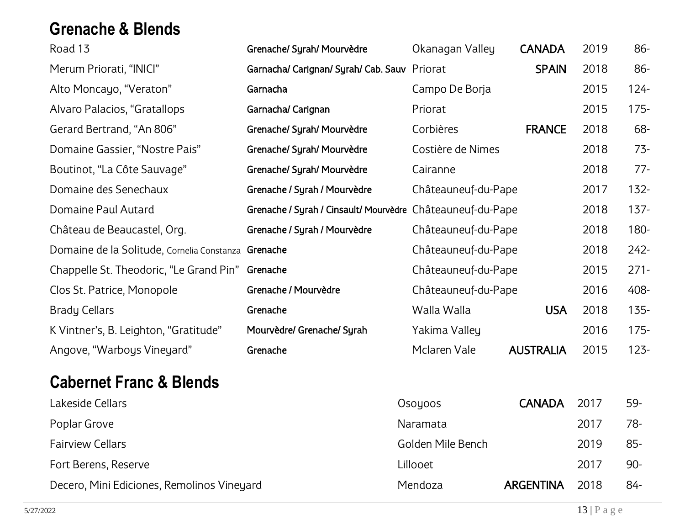#### <span id="page-12-0"></span>**Grenache & Blends**

| Road 13                                             | Grenache/ Syrah/ Mourvèdre                                 | Okanagan Valley     | <b>CANADA</b>    | 2019 | 86-     |
|-----------------------------------------------------|------------------------------------------------------------|---------------------|------------------|------|---------|
| Merum Priorati, "INICI"                             | Garnacha/ Carignan/ Syrah/ Cab. Sauv Priorat               |                     | <b>SPAIN</b>     | 2018 | 86-     |
| Alto Moncayo, "Veraton"                             | Garnacha                                                   | Campo De Borja      |                  | 2015 | $124 -$ |
| Alvaro Palacios, "Gratallops                        | Garnacha/ Carignan                                         | Priorat             |                  | 2015 | $175 -$ |
| Gerard Bertrand, "An 806"                           | Grenache/ Syrah/ Mourvèdre                                 | Corbières           | <b>FRANCE</b>    | 2018 | 68-     |
| Domaine Gassier, "Nostre Pais"                      | Grenache/ Syrah/ Mourvèdre                                 | Costière de Nimes   |                  | 2018 | $73-$   |
| Boutinot, "La Côte Sauvage"                         | Grenache/ Syrah/ Mourvèdre                                 | Cairanne            |                  | 2018 | $77-$   |
| Domaine des Senechaux                               | Grenache / Syrah / Mourvèdre                               | Châteauneuf-du-Pape |                  | 2017 | $132 -$ |
| Domaine Paul Autard                                 | Grenache / Syrah / Cinsault/ Mourvèdre Châteauneuf-du-Pape |                     |                  | 2018 | $137 -$ |
| Château de Beaucastel, Org.                         | Grenache / Syrah / Mourvèdre                               | Châteauneuf-du-Pape |                  | 2018 | 180-    |
| Domaine de la Solitude, Cornelia Constanza Grenache |                                                            | Châteauneuf-du-Pape |                  | 2018 | $242 -$ |
| Chappelle St. Theodoric, "Le Grand Pin"             | Grenache                                                   | Châteauneuf-du-Pape |                  | 2015 | $271 -$ |
| Clos St. Patrice, Monopole                          | Grenache / Mourvèdre                                       | Châteauneuf-du-Pape |                  | 2016 | 408-    |
| <b>Brady Cellars</b>                                | Grenache                                                   | Walla Walla         | <b>USA</b>       | 2018 | $135 -$ |
| K Vintner's, B. Leighton, "Gratitude"               | Mourvèdre/ Grenache/ Syrah                                 | Yakima Valley       |                  | 2016 | $175 -$ |
| Angove, "Warboys Vineyard"                          | Grenache                                                   | Mclaren Vale        | <b>AUSTRALIA</b> | 2015 | $123 -$ |
| <b>Cabernet Franc &amp; Blends</b>                  |                                                            |                     |                  |      |         |
| Lakeside Cellars                                    |                                                            | Osoyoos             | <b>CANADA</b>    | 2017 | 59-     |
|                                                     |                                                            |                     |                  |      |         |

Poplar Grove 2017 and 2017 and 2017 and 2017 and 2017 and 2017 and 2017 and 2017 and 2017 and 2017 and 2017 and 2017 and 2017 and 2017 and 2017 and 2017 and 2017 and 2017 and 2017 and 2017 and 2017 and 2017 and 2018 and 20 Fairview Cellars **Fairview Cellars Golden Mile Bench** 2019 85-Fort Berens, Reserve **2017** 2017 190-Decero, Mini Ediciones, Remolinos Vineyard Mendoza Mendoza **ARGENTINA** 2018 84-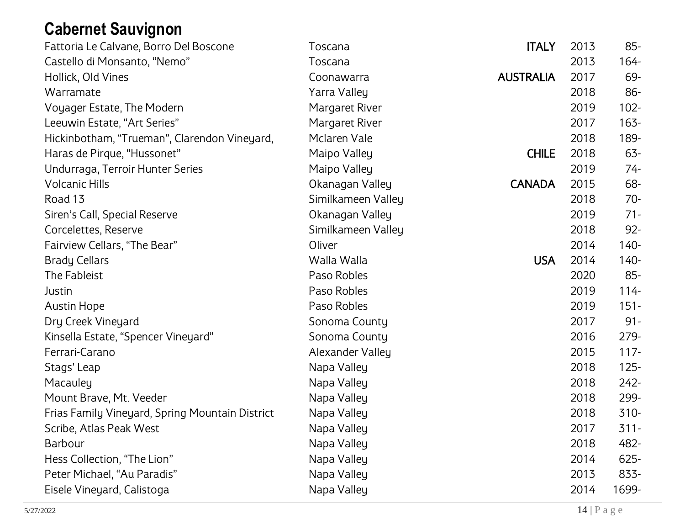# <span id="page-13-0"></span>**Cabernet Sauvignon**

| Fattoria Le Calvane, Borro Del Boscone          | Toscana            | <b>ITALY</b>     | 2013 | $85 -$  |
|-------------------------------------------------|--------------------|------------------|------|---------|
| Castello di Monsanto, "Nemo"                    | Toscana            |                  | 2013 | 164-    |
| Hollick, Old Vines                              | Coonawarra         | <b>AUSTRALIA</b> | 2017 | 69-     |
| Warramate                                       | Yarra Valley       |                  | 2018 | 86-     |
| Voyager Estate, The Modern                      | Margaret River     |                  | 2019 | $102 -$ |
| Leeuwin Estate, "Art Series"                    | Margaret River     |                  | 2017 | $163 -$ |
| Hickinbotham, "Trueman", Clarendon Vineyard,    | Mclaren Vale       |                  | 2018 | 189-    |
| Haras de Pirque, "Hussonet"                     | Maipo Valley       | <b>CHILE</b>     | 2018 | $63 -$  |
| Undurraga, Terroir Hunter Series                | Maipo Valley       |                  | 2019 | $74-$   |
| <b>Volcanic Hills</b>                           | Okanagan Valley    | <b>CANADA</b>    | 2015 | 68-     |
| Road 13                                         | Similkameen Valley |                  | 2018 | $70-$   |
| Siren's Call, Special Reserve                   | Okanagan Valley    |                  | 2019 | $71 -$  |
| Corcelettes, Reserve                            | Similkameen Valley |                  | 2018 | $92 -$  |
| Fairview Cellars, "The Bear"                    | Oliver             |                  | 2014 | 140-    |
| <b>Brady Cellars</b>                            | Walla Walla        | <b>USA</b>       | 2014 | $140 -$ |
| The Fableist                                    | Paso Robles        |                  | 2020 | $85 -$  |
| Justin                                          | Paso Robles        |                  | 2019 | $114 -$ |
| <b>Austin Hope</b>                              | Paso Robles        |                  | 2019 | $151 -$ |
| Dry Creek Vineyard                              | Sonoma County      |                  | 2017 | $91 -$  |
| Kinsella Estate, "Spencer Vineyard"             | Sonoma County      |                  | 2016 | $279-$  |
| Ferrari-Carano                                  | Alexander Valley   |                  | 2015 | $117 -$ |
| Stags' Leap                                     | Napa Valley        |                  | 2018 | $125 -$ |
| Macauley                                        | Napa Valley        |                  | 2018 | $242 -$ |
| Mount Brave, Mt. Veeder                         | Napa Valley        |                  | 2018 | 299-    |
| Frias Family Vineyard, Spring Mountain District | Napa Valley        |                  | 2018 | 310-    |
| Scribe, Atlas Peak West                         | Napa Valley        |                  | 2017 | $311 -$ |
| Barbour                                         | Napa Valley        |                  | 2018 | 482-    |
| Hess Collection, "The Lion"                     | Napa Valley        |                  | 2014 | $625 -$ |
| Peter Michael, "Au Paradis"                     | Napa Valley        |                  | 2013 | 833-    |
| Eisele Vineyard, Calistoga                      | Napa Valley        |                  | 2014 | 1699-   |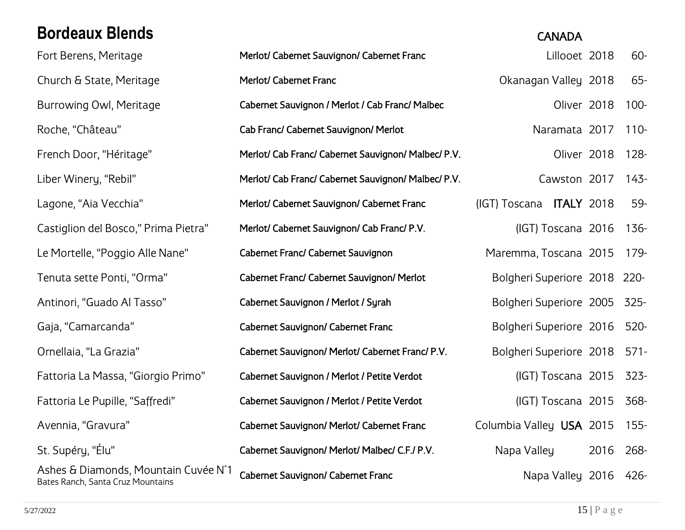### <span id="page-14-0"></span>**Bordeaux Blends** CANADA

Ashes & Diamonds, Mountain Cuvée N˚1

# Fort Berens, Meritage **Merlot/ Cabernet Sauvignon/ Cabernet Franc** Entertainment Collocat 2018 60-Church & State, Meritage **Merlot/ Cabernet Franc** Church & Stanagan Valley 2018 65-Burrowing Owl, Meritage **Cabernet Sauvignon / Merlot / Cab Franc/ Malbec** Oliver 2018 100-Roche, "Château" Cab Franc/ Cabernet Sauvignon/ Merlot Naramata 2017 110-French Door, "Héritage" Merlot/ Cab Franc/ Cabernet Sauvignon/ Malbec/ P.V. Cliver 2018 128-Liber Winery, "Rebil" Merlot/ Cab Franc/ Cabernet Sauvignon/ Malbec/ P.V. Cawston 2017 143-Lagone, "Aia Vecchia" Merlot/ Cabernet Sauvignon/ Cabernet Franc (IGT) Toscana ITALY 2018 59-Castiglion del Bosco," Prima Pietra" Merlot/ Cabernet Sauvignon/ Cab Franc/ P.V. (IGT) Toscana 2016 136- Le Mortelle, "Poggio Alle Nane" Cabernet Franc/ Cabernet Sauvignon Maremma, Toscana 2015 179-Tenuta sette Ponti, "Orma" Cabernet Franc/ Cabernet Sauvignon/ Merlot Bolgheri Superiore 2018 220-Antinori, "Guado Al Tasso" Cabernet Sauvignon / Merlot / Syrah Bolgheri Superiore 2005 325-Gaja, "Camarcanda" Cabernet Sauvignon/ Cabernet Franc Bolgheri Superiore 2016 520-Ornellaia, "La Grazia" Cabernet Sauvignon/ Merlot/ Cabernet Franc/ P.V. Bolgheri Superiore 2018 571- Fattoria La Massa, "Giorgio Primo" Cabernet Sauvignon / Merlot / Petite Verdot (IGT) Toscana 2015 323- Fattoria Le Pupille, "Saffredi" Cabernet Sauvignon / Merlot / Petite Verdot (IGT) Toscana 2015 368- Avennia, "Gravura" Cabernet Sauvignon/ Merlot/ Cabernet Franc Columbia Valley USA 2015 155-St. Supéry, "Élu" Cabernet Sauvignon/ Merlot/ Malbec/ C.F./ P.V. Napa Valley 2016 268-Asries & Diamonds, Mountain Cuvee N.T. Ca<mark>bernet Sauvignon/ Cabernet Franc</mark> Napa Valley 2016 426-<br>Bates Ranch, Santa Cruz Mountains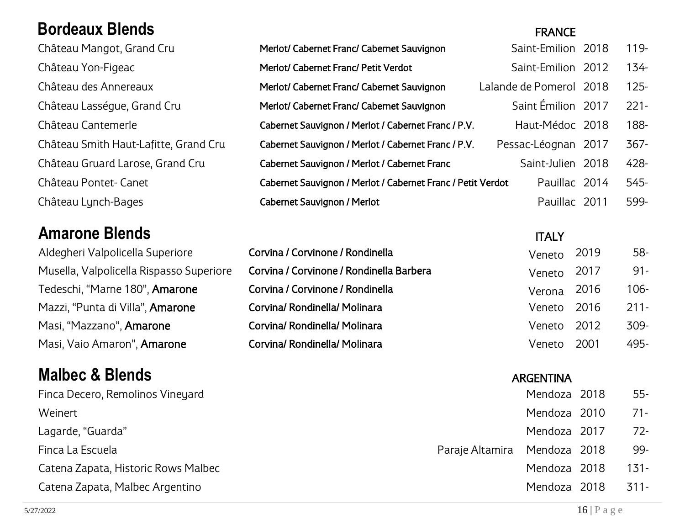#### <span id="page-15-0"></span>**Bordeaux Blends** FRANCE

Château Mangot, Grand Cru Château Yon-Figeac Château des Annereaux Château Lasségue, Grand Cru Château Cantemerle Château Smith Haut-Lafitte, Grand Cru Château Gruard Larose, Grand Cru Château Pontet- Canet Château Lynch-Bages

#### <span id="page-15-1"></span>**Amarone Blends** ITALY

Aldegheri Valpolicella Superiore Musella, Valpolicella Rispasso Superiore Tedeschi, "Marne 180", Amarone Mazzi, "Punta di Villa", Amarone Masi, "Mazzano", Amarone Masi, Vaio Amaron", Amarone

#### <span id="page-15-2"></span>**Malbec & Blends** ARGENTINA

| Merlot/ Cabernet Franc/ Cabernet Sauvignon                  | Saint-Emilion 2018      | $119 -$ |
|-------------------------------------------------------------|-------------------------|---------|
| Merlot/ Cabernet Franc/ Petit Verdot                        | Saint-Emilion 2012      | $134 -$ |
| Merlot/ Cabernet Franc/ Cabernet Sauvignon                  | Lalande de Pomerol 2018 | $125 -$ |
| Merlot/ Cabernet Franc/ Cabernet Sauvignon                  | Saint Émilion 2017      | $221 -$ |
| Cabernet Sauvignon / Merlot / Cabernet Franc / P.V.         | Haut-Médoc 2018         | 188-    |
| Cabernet Sauvignon / Merlot / Cabernet Franc / P.V.         | Pessac-Léognan 2017     | $367 -$ |
| Cabernet Sauvignon / Merlot / Cabernet Franc                | Saint-Julien 2018       | 428-    |
| Cabernet Sauvignon / Merlot / Cabernet Franc / Petit Verdot | Pauillac 2014           | 545-    |
| Cabernet Sauvignon / Merlot                                 | Pauillac 2011           | 599-    |

| Corvina / Corvinone / Rondinella         | Veneto 2019 | 58-     |
|------------------------------------------|-------------|---------|
| Corvina / Corvinone / Rondinella Barbera | Veneto 2017 | $91 -$  |
| Corvina / Corvinone / Rondinella         | Verona 2016 | 106-    |
| Corvina/ Rondinella/ Molinara            | Veneto 2016 | $211 -$ |
| Corvina/ Rondinella/ Molinara            | Veneto 2012 | 309-    |
| Corvina/ Rondinella/ Molinara            | Veneto 2001 | 495-    |

| Finca Decero, Remolinos Vineyard    |                              | Mendoza 2018 | 55-     |
|-------------------------------------|------------------------------|--------------|---------|
| Weinert                             |                              | Mendoza 2010 | 71-     |
| Lagarde, "Guarda"                   |                              | Mendoza 2017 | 72-     |
| Finca La Escuela                    | Paraje Altamira Mendoza 2018 |              | 99-     |
| Catena Zapata, Historic Rows Malbec |                              | Mendoza 2018 | $131 -$ |
| Catena Zapata, Malbec Argentino     |                              | Mendoza 2018 | $311-$  |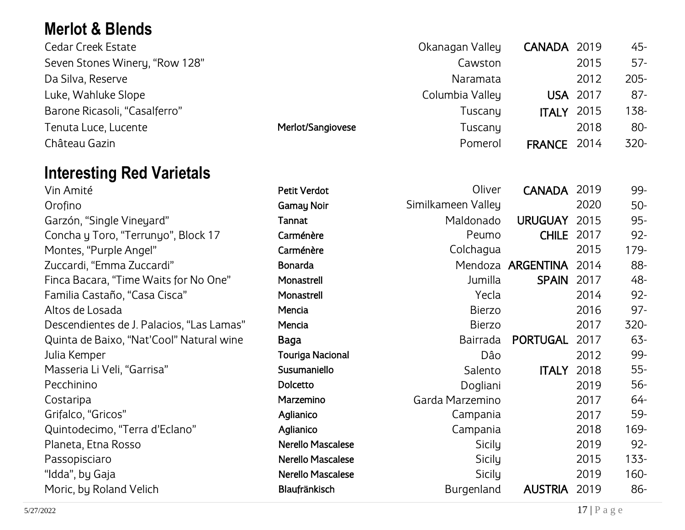### <span id="page-16-0"></span>**Merlot & Blends**

| <b>Cedar Creek Estate</b>      |                   | Okanagan Valley | CANADA 2019     |      | $45 -$  |
|--------------------------------|-------------------|-----------------|-----------------|------|---------|
| Seven Stones Winery, "Row 128" |                   | Cawston         |                 | 2015 | $57 -$  |
| Da Silva, Reserve              |                   | Naramata        |                 | 2012 | $205 -$ |
| Luke, Wahluke Slope            |                   | Columbia Valley | <b>USA 2017</b> |      | $87 -$  |
| Barone Ricasoli, "Casalferro"  |                   | Tuscany         | <b>ITALY</b>    | 2015 | 138-    |
| Tenuta Luce, Lucente           | Merlot/Sangiovese | Tuscany         |                 | 2018 | $80-$   |
| Château Gazin                  |                   | Pomerol         | <b>FRANCE</b>   | 2014 | $320 -$ |

#### <span id="page-16-1"></span>**Interesting Red Varietals**

| <b>THURSHIP IN THE PHILAP IS A TELL</b>   |                     |                    |                   |      |         |
|-------------------------------------------|---------------------|--------------------|-------------------|------|---------|
| Vin Amité                                 | <b>Petit Verdot</b> | Oliver             | <b>CANADA</b>     | 2019 | 99-     |
| Orofino                                   | <b>Gamay Noir</b>   | Similkameen Valley |                   | 2020 | $50-$   |
| Garzón, "Single Vineyard"                 | Tannat              | Maldonado          | <b>URUGUAY</b>    | 2015 | $95 -$  |
| Concha y Toro, "Terrunyo", Block 17       | Carménère           | Peumo              | <b>CHILE</b>      | 2017 | $92 -$  |
| Montes, "Purple Angel"                    | Carménère           | Colchagua          |                   | 2015 | 179-    |
| Zuccardi, "Emma Zuccardi"                 | <b>Bonarda</b>      |                    | Mendoza ARGENTINA | 2014 | 88-     |
| Finca Bacara, "Time Waits for No One"     | Monastrell          | Jumilla            | <b>SPAIN</b>      | 2017 | 48-     |
| Familia Castaño, "Casa Cisca"             | Monastrell          | Yecla              |                   | 2014 | $92 -$  |
| Altos de Losada                           | Mencia              | <b>Bierzo</b>      |                   | 2016 | $97 -$  |
| Descendientes de J. Palacios, "Las Lamas" | Mencia              | <b>Bierzo</b>      |                   | 2017 | 320-    |
| Quinta de Baixo, "Nat'Cool" Natural wine  | Baga                | <b>Bairrada</b>    | <b>PORTUGAL</b>   | 2017 | $63 -$  |
| Julia Kemper                              | Touriga Nacional    | Dâo                |                   | 2012 | 99-     |
| Masseria Li Veli, "Garrisa"               | Susumaniello        | Salento            | <b>ITALY</b>      | 2018 | $55 -$  |
| Pecchinino                                | Dolcetto            | Dogliani           |                   | 2019 | 56-     |
| Costaripa                                 | Marzemino           | Garda Marzemino    |                   | 2017 | 64-     |
| Grifalco, "Gricos"                        | Aglianico           | Campania           |                   | 2017 | 59-     |
| Quintodecimo, "Terra d'Eclano"            | Aglianico           | Campania           |                   | 2018 | 169-    |
| Planeta, Etna Rosso                       | Nerello Mascalese   | Sicily             |                   | 2019 | $92 -$  |
| Passopisciaro                             | Nerello Mascalese   | Sicily             |                   | 2015 | $133 -$ |
| "Idda", by Gaja                           | Nerello Mascalese   | Sicily             |                   | 2019 | $160 -$ |
| Moric, by Roland Velich                   | Blaufränkisch       | Burgenland         | <b>AUSTRIA</b>    | 2019 | 86-     |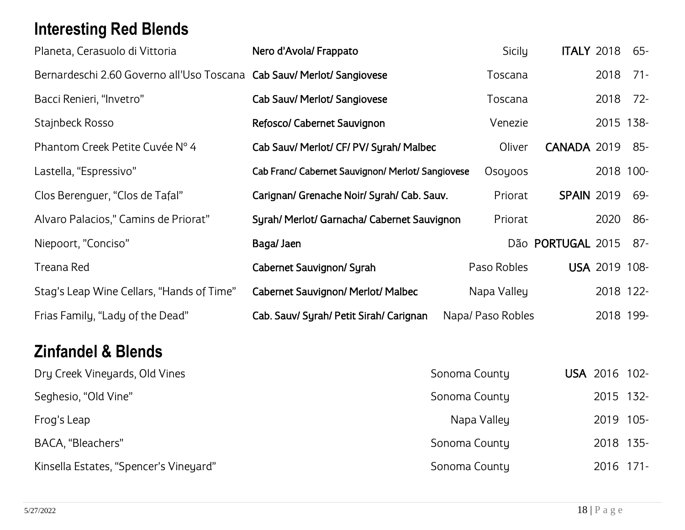# <span id="page-17-0"></span>**Interesting Red Blends**

| Planeta, Cerasuolo di Vittoria                                         | Nero d'Avola/ Frappato                            | Sicily            | <b>ITALY 2018</b> |                 | 65-     |
|------------------------------------------------------------------------|---------------------------------------------------|-------------------|-------------------|-----------------|---------|
| Bernardeschi 2.60 Governo all'Uso Toscana Cab Sauv/ Merlot/ Sangiovese |                                                   | Toscana           |                   | 2018            | $71-$   |
| Bacci Renieri, "Invetro"                                               | Cab Sauv/ Merlot/ Sangiovese                      | Toscana           |                   | 2018            | $72-$   |
| Stajnbeck Rosso                                                        | Refosco/ Cabernet Sauvignon                       | Venezie           |                   | 2015 138-       |         |
| Phantom Creek Petite Cuvée N° 4                                        | Cab Sauv/ Merlot/ CF/ PV/ Syrah/ Malbec           | Oliver            | CANADA 2019       |                 | 85-     |
| Lastella, "Espressivo"                                                 | Cab Franc/ Cabernet Sauvignon/ Merlot/ Sangiovese | Osoyoos           |                   | 2018 100-       |         |
| Clos Berenguer, "Clos de Tafal"                                        | Carignan/ Grenache Noir/ Syrah/ Cab. Sauv.        | Priorat           | <b>SPAIN 2019</b> |                 | 69-     |
| Alvaro Palacios," Camins de Priorat"                                   | Syrah/ Merlot/ Garnacha/ Cabernet Sauvignon       | Priorat           |                   | 2020            | 86-     |
| Niepoort, "Conciso"                                                    | Baga/ Jaen                                        |                   | Dão PORTUGAL 2015 |                 | $87 -$  |
| Treana Red                                                             | Cabernet Sauvignon/ Syrah                         | Paso Robles       |                   | USA 2019 108-   |         |
| Stag's Leap Wine Cellars, "Hands of Time"                              | Cabernet Sauvignon/ Merlot/ Malbec                | Napa Valley       |                   | 2018 122-       |         |
| Frias Family, "Lady of the Dead"                                       | Cab. Sauv/ Syrah/ Petit Sirah/ Carignan           | Napa/ Paso Robles |                   | 2018 199-       |         |
| <b>Zinfandel &amp; Blends</b>                                          |                                                   |                   |                   |                 |         |
| Dry Creek Vineyards, Old Vines                                         |                                                   | Sonoma County     |                   | <b>USA 2016</b> | $102 -$ |

<span id="page-17-1"></span>

| Seghesio, "Old Vine"                   | Sonoma County | 2015 132- |
|----------------------------------------|---------------|-----------|
| Frog's Leap                            | Napa Valley   | 2019 105- |
| BACA, "Bleachers"                      | Sonoma County | 2018 135- |
| Kinsella Estates, "Spencer's Vineyard" | Sonoma County | 2016 171- |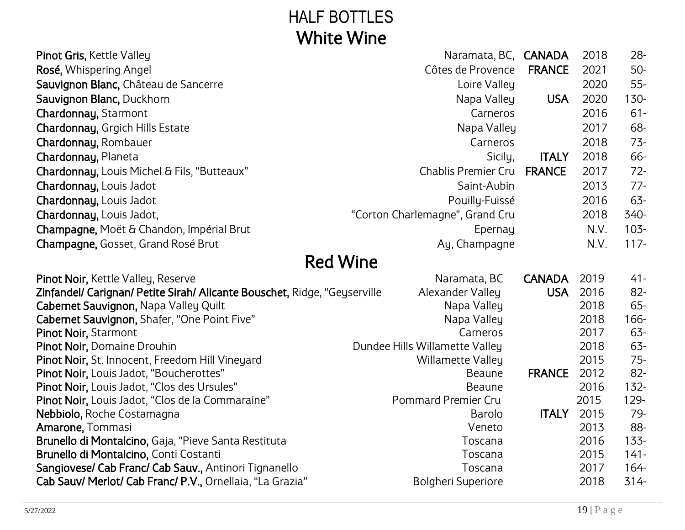# HALF BOTTLES White Wine

<span id="page-18-0"></span>

| Pinot Gris, Kettle Valley                                                 | Naramata, BC, <b>CANADA</b>          |               | 2018         | $28 -$      |
|---------------------------------------------------------------------------|--------------------------------------|---------------|--------------|-------------|
| Rosé, Whispering Angel                                                    | Côtes de Provence                    | <b>FRANCE</b> | 2021         | $50-$       |
| Sauvignon Blanc, Château de Sancerre                                      | Loire Valley                         |               | 2020         | $55 -$      |
| Sauvignon Blanc, Duckhorn                                                 | Napa Valley                          | <b>USA</b>    | 2020         | $130 -$     |
| Chardonnay, Starmont                                                      | Carneros                             |               | 2016         | $61 -$      |
| Chardonnay, Grgich Hills Estate                                           | Napa Valley                          |               | 2017         | 68-         |
| Chardonnay, Rombauer                                                      | Carneros                             |               | 2018         | $73-$       |
| Chardonnay, Planeta                                                       | Sicily,                              | <b>ITALY</b>  | 2018         | 66-         |
| Chardonnay, Louis Michel & Fils, "Butteaux"                               | Chablis Premier Cru                  | <b>FRANCE</b> | 2017         | $72 -$      |
| Chardonnay, Louis Jadot                                                   | Saint-Aubin                          |               | 2013         | $77-$       |
| Chardonnay, Louis Jadot                                                   | Pouilly-Fuissé                       |               | 2016         | 63-         |
| Chardonnay, Louis Jadot,                                                  | "Corton Charlemagne", Grand Cru      |               | 2018         | 340-        |
| Champagne, Moët & Chandon, Impérial Brut                                  | Epernay                              |               | N.V.         | $103 -$     |
| Champagne, Gosset, Grand Rosé Brut                                        | Ay, Champagne                        |               | N.V.         | $117 -$     |
|                                                                           | <b>Red Wine</b>                      |               |              |             |
| Pinot Noir, Kettle Valley, Reserve                                        | Naramata, BC                         | <b>CANADA</b> | 2019         | $41 -$      |
| Zinfandel/ Carignan/ Petite Sirah/ Alicante Bouschet, Ridge, "Geyserville | Alexander Valley                     | <b>USA</b>    | 2016         | 82-         |
| Cabernet Sauvignon, Napa Valley Quilt                                     | Napa Valley                          |               | 2018         | 65-         |
| Cabernet Sauvignon, Shafer, "One Point Five"                              | Napa Valley                          |               | 2018         | 166-        |
| Pinot Noir, Starmont                                                      | Carneros                             |               | 2017         | 63-         |
| Pinot Noir, Domaine Drouhin                                               | Dundee Hills Willamette Valley       |               | 2018         | 63-         |
| Pinot Noir, St. Innocent, Freedom Hill Vineyard                           | <b>Willamette Valley</b>             |               | 2015         | $75 -$      |
| Pinot Noir, Louis Jadot, "Boucherottes"                                   | <b>Beaune</b>                        | <b>FRANCE</b> | 2012         | $82 -$      |
| Pinot Noir, Louis Jadot, "Clos des Ursules"                               | <b>Beaune</b>                        |               | 2016         | $132 -$     |
| Pinot Noir, Louis Jadot, "Clos de la Commaraine"                          | <b>Pommard Premier Cru</b><br>Barolo | <b>ITALY</b>  | 2015<br>2015 | 129-<br>79- |
| Nebbiolo, Roche Costamagna<br>Amarone, Tommasi                            | Veneto                               |               | 2013         | 88-         |
| Brunello di Montalcino, Gaja, "Pieve Santa Restituta                      | Toscana                              |               | 2016         | $133 -$     |
| Brunello di Montalcino, Conti Costanti                                    | Toscana                              |               | 2015         | $141 -$     |
| Sangiovese/ Cab Franc/ Cab Sauv., Antinori Tignanello                     | Toscana                              |               | 2017         | $164 -$     |
| Cab Sauv/ Merlot/ Cab Franc/ P.V., Ornellaia, "La Grazia"                 | <b>Bolgheri Superiore</b>            |               | 2018         | 314-        |
|                                                                           |                                      |               |              |             |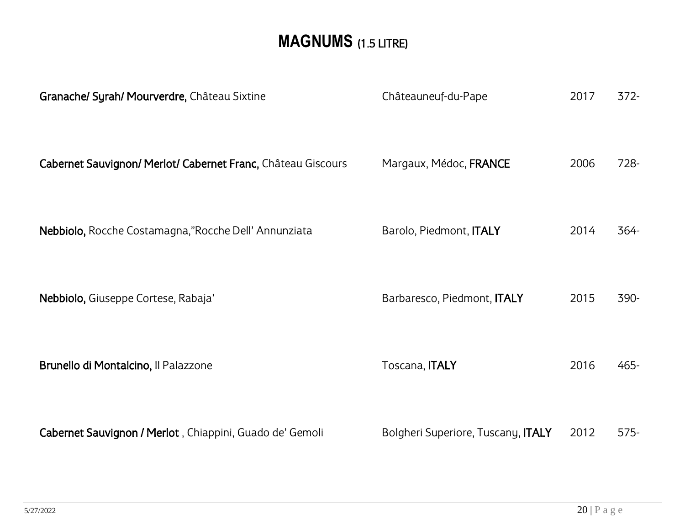# **MAGNUMS** (1.5 LITRE)

<span id="page-19-0"></span>

| Granache/ Syrah/ Mourverdre, Château Sixtine                 | Châteauneuf-du-Pape                | 2017 | $372 -$ |
|--------------------------------------------------------------|------------------------------------|------|---------|
| Cabernet Sauvignon/ Merlot/ Cabernet Franc, Château Giscours | Margaux, Médoc, FRANCE             | 2006 | 728-    |
| Nebbiolo, Rocche Costamagna,"Rocche Dell' Annunziata         | Barolo, Piedmont, ITALY            | 2014 | 364-    |
| Nebbiolo, Giuseppe Cortese, Rabaja'                          | Barbaresco, Piedmont, ITALY        | 2015 | 390-    |
| Brunello di Montalcino, Il Palazzone                         | Toscana, <b>ITALY</b>              | 2016 | 465-    |
| Cabernet Sauvignon / Merlot, Chiappini, Guado de' Gemoli     | Bolgheri Superiore, Tuscany, ITALY | 2012 | $575 -$ |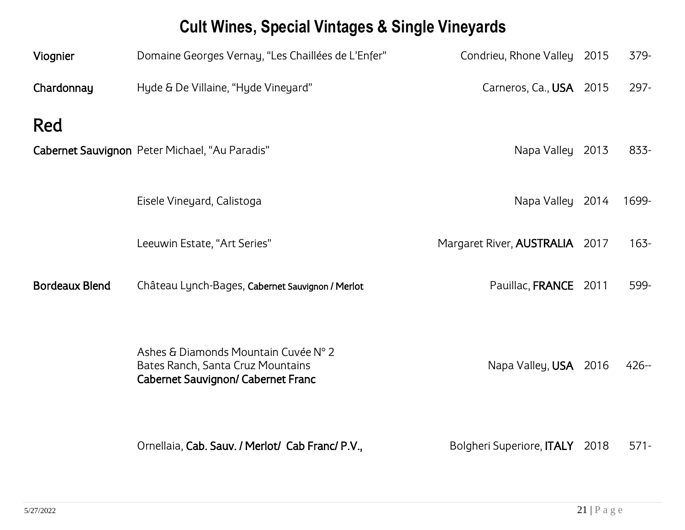# **Cult Wines, Special Vintages & Single Vineyards**

<span id="page-20-0"></span>

| Viognier              | Domaine Georges Vernay, "Les Chaillées de L'Enfer"                                                                     | Condrieu, Rhone Valley 2015      |      | 379-    |
|-----------------------|------------------------------------------------------------------------------------------------------------------------|----------------------------------|------|---------|
| Chardonnay            | Hyde & De Villaine, "Hyde Vineyard"                                                                                    | Carneros, Ca., USA 2015          |      | $297 -$ |
| Red                   |                                                                                                                        |                                  |      |         |
|                       | Cabernet Sauvignon Peter Michael, "Au Paradis"                                                                         | Napa Valley 2013                 |      | 833-    |
|                       |                                                                                                                        |                                  |      |         |
|                       | Eisele Vineyard, Calistoga                                                                                             | Napa Valley 2014                 |      | 1699-   |
|                       | Leeuwin Estate, "Art Series"                                                                                           | Margaret River, AUSTRALIA 2017   |      | $163 -$ |
| <b>Bordeaux Blend</b> | Château Lynch-Bages, Cabernet Sauvignon / Merlot                                                                       | Pauillac, FRANCE 2011            |      | 599-    |
|                       | Ashes & Diamonds Mountain Cuvée N° 2<br>Bates Ranch, Santa Cruz Mountains<br><b>Cabernet Sauvignon/ Cabernet Franc</b> | Napa Valley, USA 2016            |      | $426 -$ |
|                       | Ornellaia, Cab. Sauv. / Merlot/ Cab Franc/ P.V.,                                                                       | Bolgheri Superiore, <b>ITALY</b> | 2018 | $571 -$ |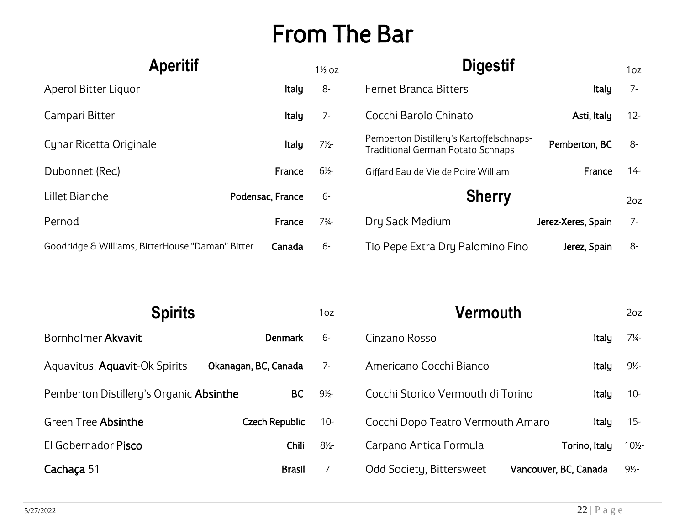# <span id="page-21-1"></span>From The Bar

<span id="page-21-0"></span>

| <b>Aperitif</b>                                  |                  | $1\frac{1}{2}$ oz | <b>Digestif</b>                                                                      |                    | 1oz    |
|--------------------------------------------------|------------------|-------------------|--------------------------------------------------------------------------------------|--------------------|--------|
| Aperol Bitter Liquor                             | <b>Italy</b>     | 8-                | <b>Fernet Branca Bitters</b>                                                         | Italy              | $7-$   |
| Campari Bitter                                   | Italy            | $7-$              | Cocchi Barolo Chinato                                                                | Asti, Italy        | $12 -$ |
| Cynar Ricetta Originale                          | Italy            | $7\frac{1}{2}$    | Pemberton Distillery's Kartoffelschnaps-<br><b>Traditional German Potato Schnaps</b> | Pemberton, BC      | -8     |
| Dubonnet (Red)                                   | France           | $6\frac{1}{2}$    | Giffard Eau de Vie de Poire William                                                  | France             | $14 -$ |
| Lillet Bianche                                   | Podensac, France | $6-$              | <b>Sherry</b>                                                                        |                    | 20z    |
| Pernod                                           | France           | $7\frac{3}{4}$    | Dry Sack Medium                                                                      | Jerez-Xeres, Spain | $7-$   |
| Goodridge & Williams, BitterHouse "Daman" Bitter | Canada           | -6                | Tio Pepe Extra Dry Palomino Fino                                                     | Jerez, Spain       | -8     |

<span id="page-21-2"></span>

| <b>Spirits</b>                          |                       | 1oz            | Vermouth                                          |               | 2oz              |
|-----------------------------------------|-----------------------|----------------|---------------------------------------------------|---------------|------------------|
| Bornholmer Akvavit                      | Denmark               | $6-$           | Cinzano Rosso                                     | <b>Italy</b>  | $7\frac{1}{4}$ - |
| Aquavitus, Aquavit-Ok Spirits           | Okanagan, BC, Canada  | $7-$           | Americano Cocchi Bianco                           | Italy         | $9\frac{1}{2}$   |
| Pemberton Distillery's Organic Absinthe | <b>BC</b>             | $9\frac{1}{2}$ | Cocchi Storico Vermouth di Torino                 | Italy         | $10 -$           |
| Green Tree Absinthe                     | <b>Czech Republic</b> | $10 -$         | Cocchi Dopo Teatro Vermouth Amaro                 | <b>Italy</b>  | $15 -$           |
| El Gobernador Pisco                     | Chili                 | $8\frac{1}{2}$ | Carpano Antica Formula                            | Torino, Italy | $10\frac{1}{2}$  |
| Cachaça 51                              | <b>Brasil</b>         |                | Odd Society, Bittersweet<br>Vancouver, BC, Canada |               | $9\frac{1}{2}$   |

<span id="page-21-3"></span>

| <u>veiliivuul</u>                 |  |                       | ZUZ.            |
|-----------------------------------|--|-----------------------|-----------------|
| Cinzano Rosso                     |  | Italy                 | 7¼-             |
| Americano Cocchi Bianco           |  | Italy                 | $9\frac{1}{2}$  |
| Cocchi Storico Vermouth di Torino |  | Italy                 | $10-$           |
| Cocchi Dopo Teatro Vermouth Amaro |  | Italy                 | 15-             |
| Carpano Antica Formula            |  | Torino, Italy         | $10\frac{1}{2}$ |
| Odd Society, Bittersweet          |  | Vancouver, BC, Canada | 9½-             |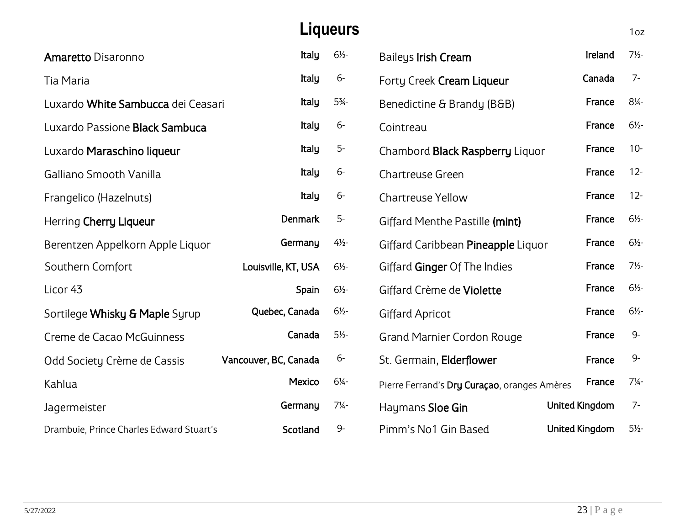<span id="page-22-0"></span>

|                                          |                       | <b>Liqueurs</b>  |                                              |                       | 1oz              |
|------------------------------------------|-----------------------|------------------|----------------------------------------------|-----------------------|------------------|
| <b>Amaretto Disaronno</b>                | Italy                 | $6\frac{1}{2}$   | <b>Baileys Irish Cream</b>                   | Ireland               | $7\frac{1}{2}$   |
| Tia Maria                                | Italy                 | $6-$             | Forty Creek Cream Liqueur                    | Canada                | $7-$             |
| Luxardo White Sambucca dei Ceasari       | Italy                 | $5\frac{3}{4}$ - | Benedictine & Brandy (B&B)                   | France                | $8\frac{1}{4}$   |
| Luxardo Passione Black Sambuca           | Italy                 | $6-$             | Cointreau                                    | France                | $6\frac{1}{2}$   |
| Luxardo Maraschino liqueur               | Italy                 | $5-$             | Chambord Black Raspberry Liquor              | France                | $10 -$           |
| Galliano Smooth Vanilla                  | Italy                 | $6-$             | <b>Chartreuse Green</b>                      | France                | $12 -$           |
| Frangelico (Hazelnuts)                   | Italy                 | $6-$             | <b>Chartreuse Yellow</b>                     | France                | $12 -$           |
| Herring Cherry Liqueur                   | <b>Denmark</b>        | $5-$             | Giffard Menthe Pastille (mint)               | France                | $6\frac{1}{2}$   |
| Berentzen Appelkorn Apple Liquor         | Germany               | $4\frac{1}{2}$   | Giffard Caribbean Pineapple Liquor           | France                | $6\frac{1}{2}$   |
| Southern Comfort                         | Louisville, KT, USA   | $6\frac{1}{2}$   | Giffard Ginger Of The Indies                 | France                | $7\frac{1}{2}$ - |
| Licor 43                                 | Spain                 | $6\frac{1}{2}$   | Giffard Crème de Violette                    | France                | $6\frac{1}{2}$   |
| Sortilege Whisky & Maple Syrup           | Quebec, Canada        | $6\frac{1}{2}$   | <b>Giffard Apricot</b>                       | France                | $6\frac{1}{2}$   |
| Creme de Cacao McGuinness                | Canada                | $5\frac{1}{2}$   | <b>Grand Marnier Cordon Rouge</b>            | France                | $9-$             |
| Odd Society Crème de Cassis              | Vancouver, BC, Canada | $6-$             | St. Germain, Elderflower                     | France                | $9-$             |
| Kahlua                                   | <b>Mexico</b>         | $6\frac{1}{4}$   | Pierre Ferrand's Dry Curaçao, oranges Amères | France                | $7\frac{1}{4}$   |
| Jagermeister                             | Germany               | $7\frac{1}{4}$   | Haymans Sloe Gin                             | <b>United Kingdom</b> | $7-$             |
| Drambuie, Prince Charles Edward Stuart's | Scotland              | 9-               | Pimm's No1 Gin Based                         | <b>United Kingdom</b> | $5\frac{1}{2}$   |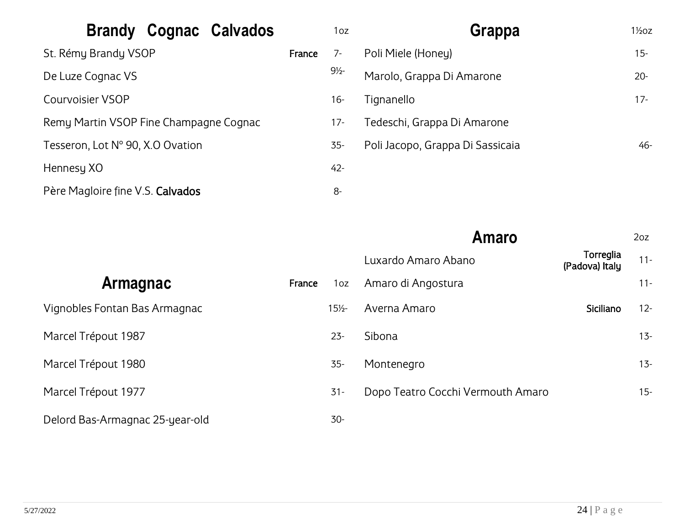<span id="page-23-1"></span><span id="page-23-0"></span>

| Cognac Calvados<br><b>Brandy</b>       |        | 1oz            | Grappa                           | $1\frac{1}{2}$ oz |
|----------------------------------------|--------|----------------|----------------------------------|-------------------|
| St. Rémy Brandy VSOP                   | France | $7-$           | Poli Miele (Honey)               | $15 -$            |
| De Luze Cognac VS                      |        | $9\frac{1}{2}$ | Marolo, Grappa Di Amarone        | $20 -$            |
| <b>Courvoisier VSOP</b>                |        | $16 -$         | Tignanello                       | $17 -$            |
| Remy Martin VSOP Fine Champagne Cognac |        | $17 -$         | Tedeschi, Grappa Di Amarone      |                   |
| Tesseron, Lot N° 90, X.O Ovation       |        | 35-            | Poli Jacopo, Grappa Di Sassicaia | $46 -$            |
| Hennesy XO                             |        | $42 -$         |                                  |                   |
| Père Magloire fine V.S. Calvados       |        | 8-             |                                  |                   |

<span id="page-23-2"></span>

|                                 |        |                 | <b>Amaro</b>                      |                             | 2oz    |
|---------------------------------|--------|-----------------|-----------------------------------|-----------------------------|--------|
|                                 |        |                 | Luxardo Amaro Abano               | Torreglia<br>(Padova) Italy | $11 -$ |
| <b>Armagnac</b>                 | France | 1oz             | Amaro di Angostura                |                             | $11 -$ |
| Vignobles Fontan Bas Armagnac   |        | $15\frac{1}{2}$ | Averna Amaro                      | Siciliano                   | $12 -$ |
| Marcel Trépout 1987             |        | $23 -$          | Sibona                            |                             | $13 -$ |
| Marcel Trépout 1980             |        | $35 -$          | Montenegro                        |                             | $13 -$ |
| Marcel Trépout 1977             |        | $31 -$          | Dopo Teatro Cocchi Vermouth Amaro |                             | $15 -$ |
| Delord Bas-Armagnac 25-year-old |        | $30-$           |                                   |                             |        |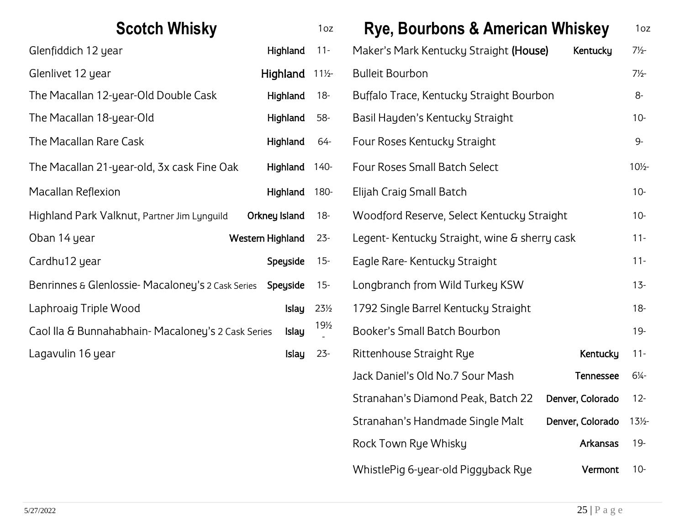<span id="page-24-0"></span>

| <b>Scotch Whisky</b>                              |                  | 1oz             | <b>Rye, Bourbons &amp; American Whiskey</b>  |           | 1 <sub>oz</sub> |
|---------------------------------------------------|------------------|-----------------|----------------------------------------------|-----------|-----------------|
| Glenfiddich 12 year                               | Highland         | $11 -$          | Maker's Mark Kentucky Straight (House)       | Kentucky  | $7\frac{1}{2}$  |
| Glenlivet 12 year                                 | Highland         | $11\frac{1}{2}$ | <b>Bulleit Bourbon</b>                       |           | $7\frac{1}{2}$  |
| The Macallan 12-year-Old Double Cask              | Highland         | $18-$           | Buffalo Trace, Kentucky Straight Bourbon     |           | $8-$            |
| The Macallan 18-year-Old                          | Highland         | 58-             | Basil Hayden's Kentucky Straight             |           | $10 -$          |
| The Macallan Rare Cask                            | Highland         | 64-             | Four Roses Kentucky Straight                 |           | $9-$            |
| The Macallan 21-year-old, 3x cask Fine Oak        | Highland         | $140 -$         | Four Roses Small Batch Select                |           | $10\frac{1}{2}$ |
| Macallan Reflexion                                | Highland         | 180-            | Elijah Craig Small Batch                     |           | $10 -$          |
| Highland Park Valknut, Partner Jim Lynguild       | Orkney Island    | $18 -$          | Woodford Reserve, Select Kentucky Straight   |           | $10 -$          |
| Oban 14 year                                      | Western Highland | $23 -$          | Legent-Kentucky Straight, wine & sherry cask |           | $11 -$          |
| Cardhu12 year                                     | Speyside         | $15 -$          | Eagle Rare-Kentucky Straight                 |           | $11 -$          |
| Benrinnes & Glenlossie-Macaloney's 2 Cask Series  | Speyside         | $15 -$          | Longbranch from Wild Turkey KSW              |           | $13 -$          |
| Laphroaig Triple Wood                             | <b>Islay</b>     | 23½             | 1792 Single Barrel Kentucky Straight         |           | $18 -$          |
| Caol IIa & Bunnahabhain-Macaloney's 2 Cask Series | Islay            | $19\frac{1}{2}$ | Booker's Small Batch Bourbon                 |           | $19 -$          |
| Lagavulin 16 year                                 | Islay            | $23 -$          | Rittenhouse Straight Rye                     | Kentucky  | $11 -$          |
|                                                   |                  |                 | Lock Dopiel's Old No. 7 Cour Moch            | Tannassas | C1              |

<span id="page-24-1"></span>

| Scotch Whisky                     |                  |              | 1 <sub>oz</sub> | <b>Rye, Bourbons &amp; American Whiskey</b>  |                  | 1 <sub>oz</sub> |
|-----------------------------------|------------------|--------------|-----------------|----------------------------------------------|------------------|-----------------|
| ιr                                |                  | Highland     | $11 -$          | Maker's Mark Kentucky Straight (House)       | Kentucky         | $7\frac{1}{2}$  |
|                                   |                  | Highland     | $11\frac{1}{2}$ | <b>Bulleit Bourbon</b>                       |                  | $7\frac{1}{2}$  |
| jear-Old Double Cask              |                  | Highland     | $18-$           | Buffalo Trace, Kentucky Straight Bourbon     |                  | 8-              |
| jear-Old                          |                  | Highland     | 58-             | Basil Hayden's Kentucky Straight             |                  | $10 -$          |
| e Cask                            |                  | Highland     | 64-             | Four Roses Kentucky Straight                 |                  | 9-              |
| jear-old, 3x cask Fine Oak        |                  | Highland     | $140 -$         | Four Roses Small Batch Select                |                  | $10\frac{1}{2}$ |
|                                   |                  | Highland     | 180-            | Elijah Craig Small Batch                     |                  | $10 -$          |
| knut, Partner Jim Lynguild        | Orkney Island    |              | $18-$           | Woodford Reserve, Select Kentucky Straight   |                  | $10 -$          |
|                                   | Western Highland |              | $23 -$          | Legent-Kentucky Straight, wine & sherry cask |                  | $11 -$          |
|                                   |                  | Speyside     | $15 -$          | Eagle Rare-Kentucky Straight                 |                  | $11 -$          |
| )SSie- Macaloney's 2 Cask Series  |                  | Speyside     | $15 -$          | Longbranch from Wild Turkey KSW              |                  | $13 -$          |
| Vood                              |                  | <b>Islay</b> | $23\frac{1}{2}$ | 1792 Single Barrel Kentucky Straight         |                  | $18 -$          |
| abhain- Macaloney's 2 Cask Series |                  | <b>Islay</b> | $19\frac{1}{2}$ | Booker's Small Batch Bourbon                 |                  | 19-             |
|                                   |                  | <b>Islay</b> | $23 -$          | Rittenhouse Straight Rye                     | Kentucky         | $11 -$          |
|                                   |                  |              |                 | Jack Daniel's Old No.7 Sour Mash             | <b>Tennessee</b> | $6\frac{1}{4}$  |
|                                   |                  |              |                 | Stranahan's Diamond Peak, Batch 22           | Denver, Colorado | $12 -$          |
|                                   |                  |              |                 | Stranahan's Handmade Single Malt             | Denver, Colorado | $13\frac{1}{2}$ |
|                                   |                  |              |                 | Rock Town Rye Whisky                         | Arkansas         | $19 -$          |
|                                   |                  |              |                 | WhistlePig 6-year-old Piggyback Rye          | Vermont          | $10 -$          |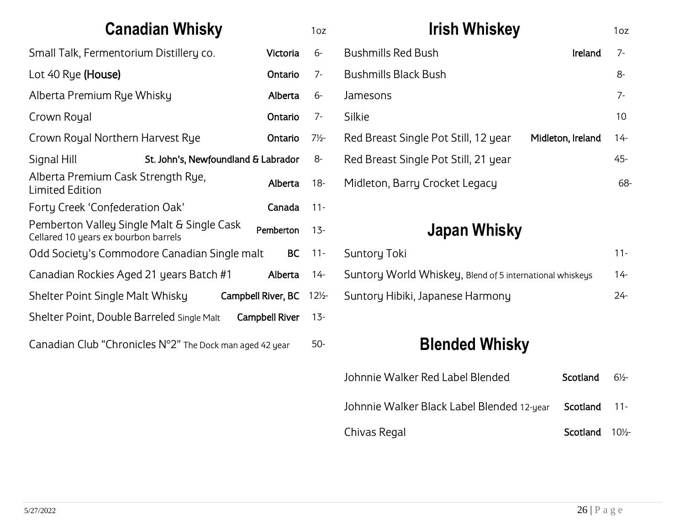<span id="page-25-0"></span>

| <b>Canadian Whisky</b>                                                                          |           | 1oz             | <b>Irish Whiskey</b>                                      | 1oz    |
|-------------------------------------------------------------------------------------------------|-----------|-----------------|-----------------------------------------------------------|--------|
| Small Talk, Fermentorium Distillery co.<br>Victoria                                             |           | 6-              | <b>Bushmills Red Bush</b><br>Ireland                      | $7 -$  |
| Lot 40 Rye (House)<br>Ontario                                                                   |           | $7-$            | <b>Bushmills Black Bush</b>                               | 8-     |
| Alberta Premium Rye Whisky                                                                      | Alberta   | $6-$            | Jamesons                                                  | $7 -$  |
| Crown Royal                                                                                     | Ontario   | $7-$            | Silkie                                                    | 10     |
| Crown Royal Northern Harvest Rye<br>Ontario                                                     |           | $7\frac{1}{2}$  | Red Breast Single Pot Still, 12 year<br>Midleton, Ireland | $14 -$ |
| Signal Hill<br>St. John's, Newfoundland & Labrador                                              |           | 8-              | Red Breast Single Pot Still, 21 year                      | 45-    |
| Alberta Premium Cask Strength Rye,<br><b>Limited Edition</b>                                    | Alberta   | $18 -$          | Midleton, Barry Crocket Legacy                            | 68     |
| Forty Creek 'Confederation Oak'                                                                 | Canada    | $11 -$          |                                                           |        |
| Pemberton Valley Single Malt & Single Cask<br>Pemberton<br>Cellared 10 years ex bourbon barrels |           | $13 -$          | Japan Whisky                                              |        |
| Odd Society's Commodore Canadian Single malt                                                    | <b>BC</b> | $11 -$          | <b>Suntory Toki</b>                                       | $11 -$ |
| Canadian Rockies Aged 21 years Batch #1                                                         | Alberta   | $14 -$          | Suntory World Whiskey, Blend of 5 international whiskeys  | $14 -$ |
| Shelter Point Single Malt Whisky<br>Campbell River, BC                                          |           | $12\frac{1}{2}$ | Suntory Hibiki, Japanese Harmony                          | $24 -$ |
| Shelter Point, Double Barreled Single Malt<br>Campbell River                                    |           | $13 -$          |                                                           |        |
| Canadian Club "Chronicles $N^{\circ}2$ " The Dock man aged 42 year                              |           | $50 -$          | <b>Blended Whisky</b>                                     |        |

| Johnnie Walker Red Label Blended           | Scotland | $6\frac{1}{2}$  |
|--------------------------------------------|----------|-----------------|
| Johnnie Walker Black Label Blended 12-year | Scotland | $11-$           |
| Chivas Regal                               | Scotland | $10\frac{1}{2}$ |

<span id="page-25-1"></span>68-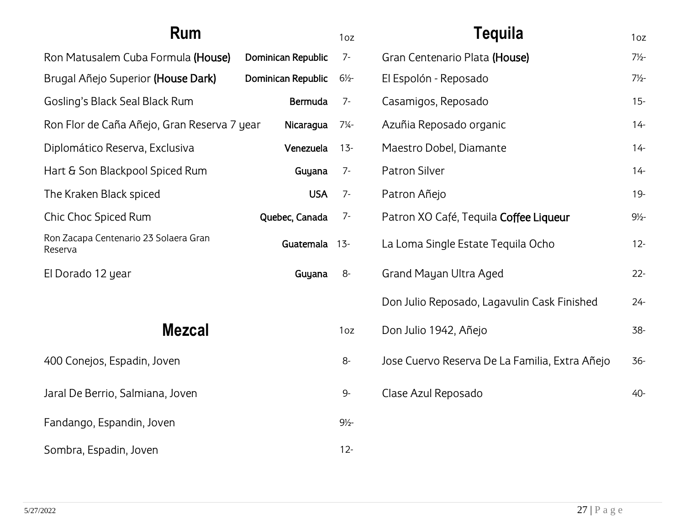<span id="page-26-1"></span><span id="page-26-0"></span>

| Rum                                                           |                    | 1oz              | Tequila                                        | 1oz            |
|---------------------------------------------------------------|--------------------|------------------|------------------------------------------------|----------------|
| Ron Matusalem Cuba Formula (House)                            | Dominican Republic | $7-$             | Gran Centenario Plata (House)                  | $7\frac{1}{2}$ |
| Brugal Añejo Superior (House Dark)<br>Dominican Republic      |                    | $6\frac{1}{2}$   | El Espolón - Reposado                          |                |
| Gosling's Black Seal Black Rum<br>Bermuda                     |                    | $7-$             | Casamigos, Reposado                            | $15 -$         |
| Ron Flor de Caña Añejo, Gran Reserva 7 year<br>Nicaragua      |                    | $7\frac{1}{4}$ - | Azuñia Reposado organic                        | $14 -$         |
| Diplomático Reserva, Exclusiva<br>Venezuela                   |                    | $13 -$           | Maestro Dobel, Diamante                        | $14 -$         |
| Hart & Son Blackpool Spiced Rum<br>Guyana                     |                    | $7-$             | Patron Silver                                  | $14 -$         |
| The Kraken Black spiced<br><b>USA</b>                         |                    | $7-$             | Patron Añejo                                   | $19 -$         |
| Chic Choc Spiced Rum                                          | Quebec, Canada     | $7-$             | Patron XO Café, Tequila Coffee Liqueur         | $9\frac{1}{2}$ |
| Ron Zacapa Centenario 23 Solaera Gran<br>Guatemala<br>Reserva |                    | $13 -$           | La Loma Single Estate Tequila Ocho             | $12 -$         |
| El Dorado 12 year                                             | Guyana             | $8-$             | Grand Mayan Ultra Aged                         | $22 -$         |
|                                                               |                    |                  | Don Julio Reposado, Lagavulin Cask Finished    | $24 -$         |
| <b>Mezcal</b>                                                 |                    | 1oz              | Don Julio 1942, Añejo                          | 38-            |
| 400 Conejos, Espadin, Joven                                   |                    | 8-               | Jose Cuervo Reserva De La Familia, Extra Añejo | $36 -$         |
| Jaral De Berrio, Salmiana, Joven                              |                    | $9-$             | Clase Azul Reposado                            | 40-            |
| Fandango, Espandin, Joven                                     |                    | $9\frac{1}{2}$   |                                                |                |
| Sombra, Espadin, Joven                                        |                    | $12 -$           |                                                |                |